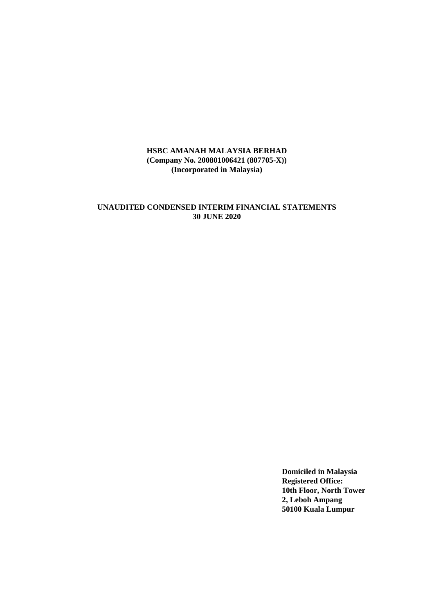# **UNAUDITED CONDENSED INTERIM FINANCIAL STATEMENTS 30 JUNE 2020**

**Domiciled in Malaysia Registered Office: 10th Floor, North Tower 2, Leboh Ampang 50100 Kuala Lumpur**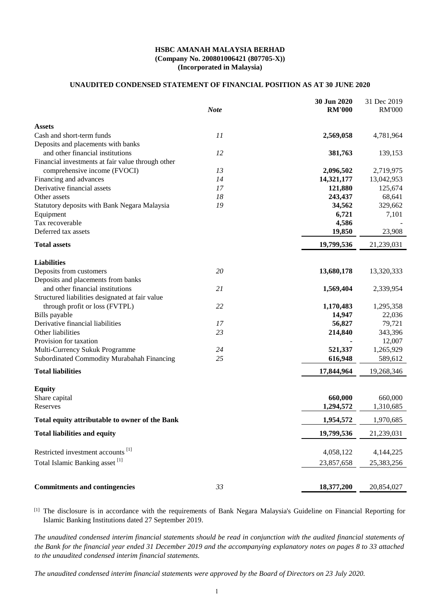# **UNAUDITED CONDENSED STATEMENT OF FINANCIAL POSITION AS AT 30 JUNE 2020**

|                                                   | <b>Note</b> | 30 Jun 2020<br><b>RM'000</b> | 31 Dec 2019<br><b>RM'000</b> |
|---------------------------------------------------|-------------|------------------------------|------------------------------|
| <b>Assets</b>                                     |             |                              |                              |
| Cash and short-term funds                         | 11          | 2,569,058                    | 4,781,964                    |
| Deposits and placements with banks                |             |                              |                              |
| and other financial institutions                  | 12          | 381,763                      | 139,153                      |
| Financial investments at fair value through other |             |                              |                              |
| comprehensive income (FVOCI)                      | 13          | 2,096,502                    | 2,719,975                    |
| Financing and advances                            | 14          | 14,321,177                   | 13,042,953                   |
| Derivative financial assets                       | 17          | 121,880                      | 125,674                      |
| Other assets                                      | 18          | 243,437                      | 68,641                       |
| Statutory deposits with Bank Negara Malaysia      | 19          | 34,562                       | 329,662                      |
| Equipment                                         |             | 6,721                        | 7,101                        |
| Tax recoverable                                   |             | 4,586                        |                              |
| Deferred tax assets                               |             | 19,850                       | 23,908                       |
| <b>Total assets</b>                               |             | 19,799,536                   | 21,239,031                   |
| <b>Liabilities</b>                                |             |                              |                              |
| Deposits from customers                           | 20          | 13,680,178                   | 13,320,333                   |
| Deposits and placements from banks                |             |                              |                              |
| and other financial institutions                  | 21          | 1,569,404                    | 2,339,954                    |
| Structured liabilities designated at fair value   |             |                              |                              |
| through profit or loss (FVTPL)                    | 22          | 1,170,483                    | 1,295,358                    |
| Bills payable                                     |             | 14,947                       | 22,036                       |
| Derivative financial liabilities                  | 17          | 56,827                       | 79,721                       |
| Other liabilities                                 | 23          | 214,840                      | 343,396                      |
| Provision for taxation                            |             |                              | 12,007                       |
| Multi-Currency Sukuk Programme                    | 24          | 521,337                      | 1,265,929                    |
| Subordinated Commodity Murabahah Financing        | 25          | 616,948                      | 589,612                      |
| <b>Total liabilities</b>                          |             | 17,844,964                   | 19,268,346                   |
|                                                   |             |                              |                              |
| <b>Equity</b>                                     |             |                              |                              |
| Share capital                                     |             | 660,000                      | 660,000                      |
| Reserves                                          |             | 1,294,572                    | 1,310,685                    |
| Total equity attributable to owner of the Bank    |             | 1,954,572                    | 1,970,685                    |
| <b>Total liabilities and equity</b>               |             | 19,799,536                   | 21,239,031                   |
| Restricted investment accounts <sup>[1]</sup>     |             | 4,058,122                    | 4,144,225                    |
| Total Islamic Banking asset <sup>[1]</sup>        |             |                              |                              |
|                                                   |             | 23,857,658                   | 25,383,256                   |
| <b>Commitments and contingencies</b>              | 33          | 18,377,200                   | 20,854,027                   |
|                                                   |             |                              |                              |

[1] The disclosure is in accordance with the requirements of Bank Negara Malaysia's Guideline on Financial Reporting for Islamic Banking Institutions dated 27 September 2019.

*The unaudited condensed interim financial statements should be read in conjunction with the audited financial statements of the Bank for the financial year ended 31 December 2019 and the accompanying explanatory notes on pages 8 to 33 attached to the unaudited condensed interim financial statements.*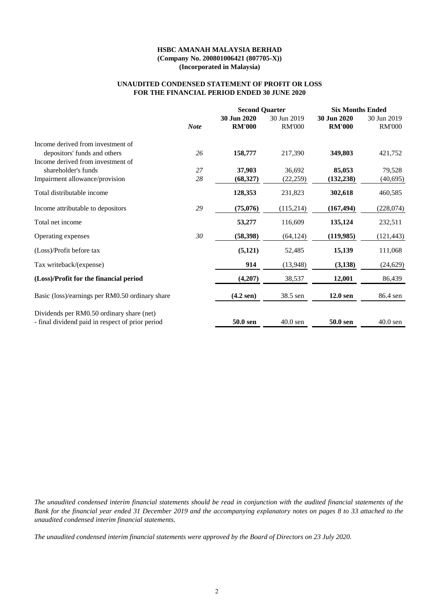### **UNAUDITED CONDENSED STATEMENT OF PROFIT OR LOSS FOR THE FINANCIAL PERIOD ENDED 30 JUNE 2020**

|                                                  |             | <b>Second Quarter</b>        |                              | <b>Six Months Ended</b>      |                              |
|--------------------------------------------------|-------------|------------------------------|------------------------------|------------------------------|------------------------------|
|                                                  | <b>Note</b> | 30 Jun 2020<br><b>RM'000</b> | 30 Jun 2019<br><b>RM'000</b> | 30 Jun 2020<br><b>RM'000</b> | 30 Jun 2019<br><b>RM'000</b> |
| Income derived from investment of                |             |                              |                              |                              |                              |
| depositors' funds and others                     | 26          | 158,777                      | 217,390                      | 349,803                      | 421,752                      |
| Income derived from investment of                |             |                              |                              |                              |                              |
| shareholder's funds                              | 27          | 37,903                       | 36,692                       | 85,053                       | 79,528                       |
| Impairment allowance/provision                   | 28          | (68, 327)                    | (22, 259)                    | (132, 238)                   | (40,695)                     |
| Total distributable income                       |             | 128,353                      | 231,823                      | 302,618                      | 460,585                      |
| Income attributable to depositors                | 29          | (75,076)                     | (115,214)                    | (167, 494)                   | (228, 074)                   |
| Total net income                                 |             | 53,277                       | 116,609                      | 135,124                      | 232,511                      |
| Operating expenses                               | 30          | (58, 398)                    | (64, 124)                    | (119,985)                    | (121, 443)                   |
| (Loss)/Profit before tax                         |             | (5, 121)                     | 52,485                       | 15,139                       | 111,068                      |
| Tax writeback/(expense)                          |             | 914                          | (13,948)                     | (3, 138)                     | (24, 629)                    |
| (Loss)/Profit for the financial period           |             | (4,207)                      | 38,537                       | 12,001                       | 86,439                       |
| Basic (loss)/earnings per RM0.50 ordinary share  |             | $(4.2$ sen)                  | 38.5 sen                     | $12.0$ sen                   | 86.4 sen                     |
| Dividends per RM0.50 ordinary share (net)        |             |                              |                              |                              |                              |
| - final dividend paid in respect of prior period |             | 50.0 sen                     | $40.0$ sen                   | 50.0 sen                     | $40.0$ sen                   |

*The unaudited condensed interim financial statements should be read in conjunction with the audited financial statements of the Bank for the financial year ended 31 December 2019 and the accompanying explanatory notes on pages 8 to 33 attached to the unaudited condensed interim financial statements.*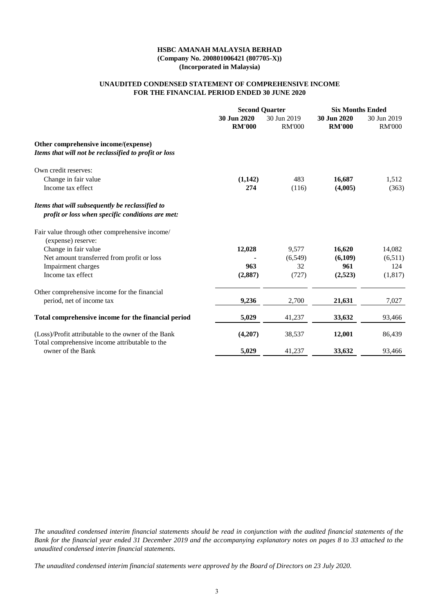### **UNAUDITED CONDENSED STATEMENT OF COMPREHENSIVE INCOME FOR THE FINANCIAL PERIOD ENDED 30 JUNE 2020**

|                                                                                                     |                              | <b>Second Quarter</b>        | <b>Six Months Ended</b>      |                              |  |
|-----------------------------------------------------------------------------------------------------|------------------------------|------------------------------|------------------------------|------------------------------|--|
|                                                                                                     | 30 Jun 2020<br><b>RM'000</b> | 30 Jun 2019<br><b>RM'000</b> | 30 Jun 2020<br><b>RM'000</b> | 30 Jun 2019<br><b>RM'000</b> |  |
| Other comprehensive income/(expense)<br>Items that will not be reclassified to profit or loss       |                              |                              |                              |                              |  |
| Own credit reserves:                                                                                |                              |                              |                              |                              |  |
| Change in fair value                                                                                | (1,142)                      | 483                          | 16,687                       | 1,512                        |  |
| Income tax effect                                                                                   | 274                          | (116)                        | (4,005)                      | (363)                        |  |
| Items that will subsequently be reclassified to<br>profit or loss when specific conditions are met: |                              |                              |                              |                              |  |
| Fair value through other comprehensive income/<br>(expense) reserve:                                |                              |                              |                              |                              |  |
| Change in fair value                                                                                | 12,028                       | 9,577                        | 16,620                       | 14,082                       |  |
| Net amount transferred from profit or loss                                                          |                              | (6, 549)                     | (6,109)                      | (6,511)                      |  |
| Impairment charges                                                                                  | 963                          | 32                           | 961                          | 124                          |  |
| Income tax effect                                                                                   | (2,887)                      | (727)                        | (2,523)                      | (1,817)                      |  |
| Other comprehensive income for the financial                                                        |                              |                              |                              |                              |  |
| period, net of income tax                                                                           | 9,236                        | 2,700                        | 21,631                       | 7,027                        |  |
| Total comprehensive income for the financial period                                                 | 5,029                        | 41,237                       | 33,632                       | 93,466                       |  |
| (Loss)/Profit attributable to the owner of the Bank                                                 | (4,207)                      | 38,537                       | 12,001                       | 86,439                       |  |
| Total comprehensive income attributable to the<br>owner of the Bank                                 | 5,029                        | 41,237                       | 33,632                       | 93,466                       |  |
|                                                                                                     |                              |                              |                              |                              |  |

*The unaudited condensed interim financial statements should be read in conjunction with the audited financial statements of the Bank for the financial year ended 31 December 2019 and the accompanying explanatory notes on pages 8 to 33 attached to the unaudited condensed interim financial statements.*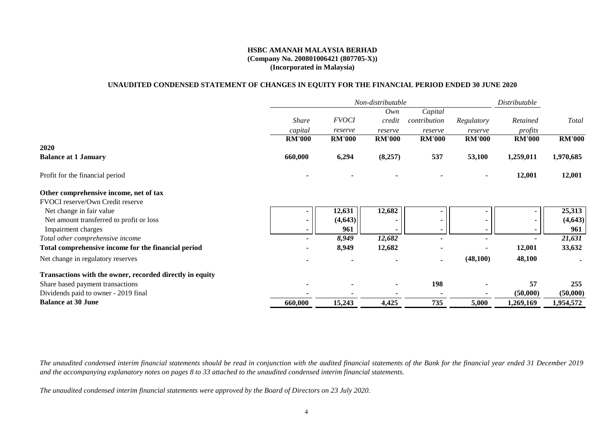## **UNAUDITED CONDENSED STATEMENT OF CHANGES IN EQUITY FOR THE FINANCIAL PERIOD ENDED 30 JUNE 2020**

|                                                          | Non-distributable        |               |               |               |               | Distributable |               |
|----------------------------------------------------------|--------------------------|---------------|---------------|---------------|---------------|---------------|---------------|
|                                                          |                          |               | Own           | Capital       |               |               |               |
|                                                          | <b>Share</b>             | <b>FVOCI</b>  | credit        | contribution  | Regulatory    | Retained      | Total         |
|                                                          | capital                  | reserve       | reserve       | reserve       | reserve       | profits       |               |
|                                                          | <b>RM'000</b>            | <b>RM'000</b> | <b>RM'000</b> | <b>RM'000</b> | <b>RM'000</b> | <b>RM'000</b> | <b>RM'000</b> |
| 2020                                                     |                          |               |               |               |               |               |               |
| <b>Balance at 1 January</b>                              | 660,000                  | 6,294         | (8,257)       | 537           | 53,100        | 1,259,011     | 1,970,685     |
| Profit for the financial period                          |                          |               |               |               |               | 12,001        | 12,001        |
| Other comprehensive income, net of tax                   |                          |               |               |               |               |               |               |
| FVOCI reserve/Own Credit reserve                         |                          |               |               |               |               |               |               |
| Net change in fair value                                 |                          | 12,631        | 12,682        |               |               |               | 25,313        |
| Net amount transferred to profit or loss                 | $\blacksquare$           | (4, 643)      |               |               |               |               | (4, 643)      |
| Impairment charges                                       | $\blacksquare$           | 961           |               |               |               |               | 961           |
| Total other comprehensive income                         | $\overline{\phantom{a}}$ | 8,949         | 12,682        |               |               |               | 21,631        |
| Total comprehensive income for the financial period      |                          | 8,949         | 12,682        |               |               | 12,001        | 33,632        |
| Net change in regulatory reserves                        |                          |               |               |               | (48,100)      | 48,100        |               |
| Transactions with the owner, recorded directly in equity |                          |               |               |               |               |               |               |
| Share based payment transactions                         |                          |               |               | 198           |               | 57            | 255           |
| Dividends paid to owner - 2019 final                     |                          |               |               |               |               | (50,000)      | (50,000)      |
| <b>Balance at 30 June</b>                                | 660,000                  | 15,243        | 4,425         | 735           | 5,000         | 1,269,169     | 1,954,572     |

*The unaudited condensed interim financial statements should be read in conjunction with the audited financial statements of the Bank for the financial year ended 31 December 2019 and the accompanying explanatory notes on pages 8 to 33 attached to the unaudited condensed interim financial statements.*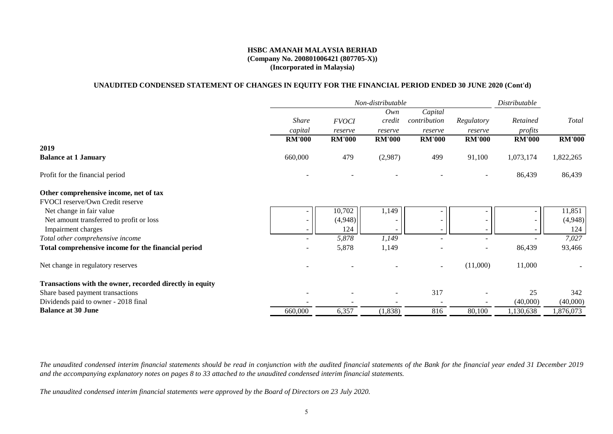## **(Company No. 200801006421 (807705-X)) (Incorporated in Malaysia) HSBC AMANAH MALAYSIA BERHAD**

## **UNAUDITED CONDENSED STATEMENT OF CHANGES IN EQUITY FOR THE FINANCIAL PERIOD ENDED 30 JUNE 2020 (Cont'd)**

|                                                          | Non-distributable        |               |               |                          |               | Distributable |               |
|----------------------------------------------------------|--------------------------|---------------|---------------|--------------------------|---------------|---------------|---------------|
|                                                          |                          |               | Own           | Capital                  |               |               |               |
|                                                          | <b>Share</b>             | <b>FVOCI</b>  | credit        | contribution             | Regulatory    | Retained      | Total         |
|                                                          | capital                  | reserve       | reserve       | reserve                  | reserve       | profits       |               |
|                                                          | <b>RM'000</b>            | <b>RM'000</b> | <b>RM'000</b> | <b>RM'000</b>            | <b>RM'000</b> | <b>RM'000</b> | <b>RM'000</b> |
| 2019                                                     |                          |               |               |                          |               |               |               |
| <b>Balance at 1 January</b>                              | 660,000                  | 479           | (2,987)       | 499                      | 91,100        | 1,073,174     | 1,822,265     |
| Profit for the financial period                          |                          |               |               |                          |               | 86,439        | 86,439        |
| Other comprehensive income, net of tax                   |                          |               |               |                          |               |               |               |
| FVOCI reserve/Own Credit reserve                         |                          |               |               |                          |               |               |               |
| Net change in fair value                                 |                          | 10,702        | 1,149         |                          |               |               | 11,851        |
| Net amount transferred to profit or loss                 | $\overline{\phantom{a}}$ | (4,948)       |               |                          |               |               | (4,948)       |
| Impairment charges                                       | $\overline{\phantom{a}}$ | 124           |               |                          |               |               | 124           |
| Total other comprehensive income                         |                          | 5,878         | 1,149         |                          |               |               | 7,027         |
| Total comprehensive income for the financial period      |                          | 5,878         | 1,149         |                          |               | 86,439        | 93,466        |
| Net change in regulatory reserves                        |                          |               |               | $\overline{\phantom{a}}$ | (11,000)      | 11,000        |               |
| Transactions with the owner, recorded directly in equity |                          |               |               |                          |               |               |               |
| Share based payment transactions                         |                          |               |               | 317                      |               | 25            | 342           |
| Dividends paid to owner - 2018 final                     |                          |               |               |                          |               | (40,000)      | (40,000)      |
| <b>Balance at 30 June</b>                                | 660,000                  | 6,357         | (1,838)       | 816                      | 80,100        | 1,130,638     | 1,876,073     |

*The unaudited condensed interim financial statements should be read in conjunction with the audited financial statements of the Bank for the financial year ended 31 December 2019 and the accompanying explanatory notes on pages 8 to 33 attached to the unaudited condensed interim financial statements.*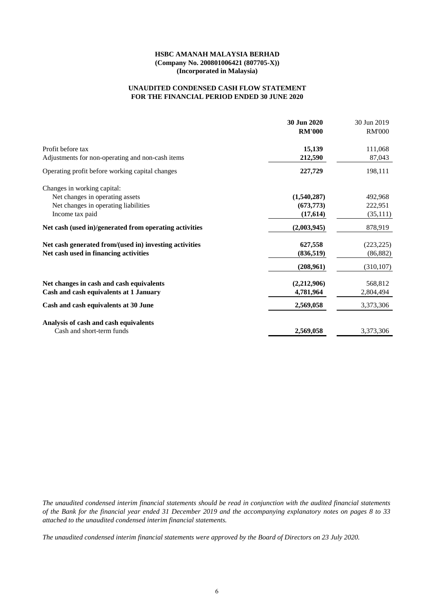### **FOR THE FINANCIAL PERIOD ENDED 30 JUNE 2020 UNAUDITED CONDENSED CASH FLOW STATEMENT**

|                                                        | 30 Jun 2020<br><b>RM'000</b> | 30 Jun 2019<br><b>RM'000</b> |
|--------------------------------------------------------|------------------------------|------------------------------|
| Profit before tax                                      | 15,139                       | 111,068                      |
| Adjustments for non-operating and non-cash items       | 212,590                      | 87,043                       |
| Operating profit before working capital changes        | 227,729                      | 198,111                      |
| Changes in working capital:                            |                              |                              |
| Net changes in operating assets                        | (1,540,287)                  | 492,968                      |
| Net changes in operating liabilities                   | (673, 773)                   | 222,951                      |
| Income tax paid                                        | (17,614)                     | (35,111)                     |
| Net cash (used in)/generated from operating activities | (2,003,945)                  | 878,919                      |
| Net cash generated from/(used in) investing activities | 627,558                      | (223, 225)                   |
| Net cash used in financing activities                  | (836, 519)                   | (86,882)                     |
|                                                        | (208,961)                    | (310, 107)                   |
| Net changes in cash and cash equivalents               | (2,212,906)                  | 568,812                      |
| Cash and cash equivalents at 1 January                 | 4,781,964                    | 2,804,494                    |
| Cash and cash equivalents at 30 June                   | 2,569,058                    | 3,373,306                    |
| Analysis of cash and cash equivalents                  |                              |                              |
| Cash and short-term funds                              | 2,569,058                    | 3,373,306                    |

*The unaudited condensed interim financial statements should be read in conjunction with the audited financial statements of the Bank for the financial year ended 31 December 2019 and the accompanying explanatory notes on pages 8 to 33 attached to the unaudited condensed interim financial statements.*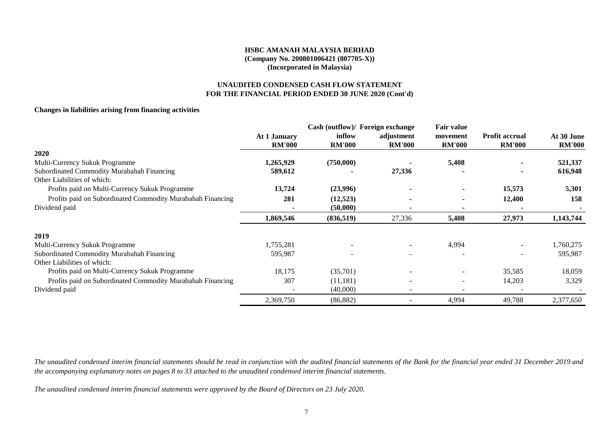# **UNAUDITED CONDENSED CASH FLOW STATEMENT FOR THE FINANCIAL PERIOD ENDED 30 JUNE 2020 (Cont'd)**

### **Changes in liabilities arising from financing activities**

|                                                            | <b>At 1 January</b> | inflow        | Cash (outflow)/ Foreign exchange<br>adjustment | <b>Fair value</b><br>movement | <b>Profit accrual</b> | At 30 June    |
|------------------------------------------------------------|---------------------|---------------|------------------------------------------------|-------------------------------|-----------------------|---------------|
|                                                            | <b>RM'000</b>       | <b>RM'000</b> | <b>RM'000</b>                                  | <b>RM'000</b>                 | <b>RM'000</b>         | <b>RM'000</b> |
| 2020                                                       |                     |               |                                                |                               |                       |               |
| Multi-Currency Sukuk Programme                             | 1,265,929           | (750,000)     |                                                | 5,408                         |                       | 521,337       |
| Subordinated Commodity Murabahah Financing                 | 589,612             |               | 27,336                                         |                               |                       | 616,948       |
| Other Liabilities of which:                                |                     |               |                                                |                               |                       |               |
| Profits paid on Multi-Currency Sukuk Programme             | 13,724              | (23,996)      |                                                |                               | 15,573                | 5,301         |
| Profits paid on Subordinated Commodity Murabahah Financing | 281                 | (12, 523)     |                                                | ۰                             | 12,400                | 158           |
| Dividend paid                                              |                     | (50,000)      |                                                |                               |                       |               |
|                                                            | 1,869,546           | (836, 519)    | 27,336                                         | 5,408                         | 27,973                | 1,143,744     |
| 2019                                                       |                     |               |                                                |                               |                       |               |
| Multi-Currency Sukuk Programme                             | 1,755,281           |               |                                                | 4,994                         |                       | 1,760,275     |
| Subordinated Commodity Murabahah Financing                 | 595,987             |               |                                                |                               |                       | 595,987       |
| Other Liabilities of which:                                |                     |               |                                                |                               |                       |               |
| Profits paid on Multi-Currency Sukuk Programme             | 18,175              | (35,701)      |                                                |                               | 35,585                | 18,059        |
| Profits paid on Subordinated Commodity Murabahah Financing | 307                 | (11,181)      |                                                |                               | 14,203                | 3,329         |
| Dividend paid                                              |                     | (40,000)      |                                                |                               |                       |               |
|                                                            | 2,369,750           | (86, 882)     |                                                | 4,994                         | 49,788                | 2,377,650     |

*The unaudited condensed interim financial statements should be read in conjunction with the audited financial statements of the Bank for the financial year ended 31 December 2019 and the accompanying explanatory notes on pages 8 to 33 attached to the unaudited condensed interim financial statements.*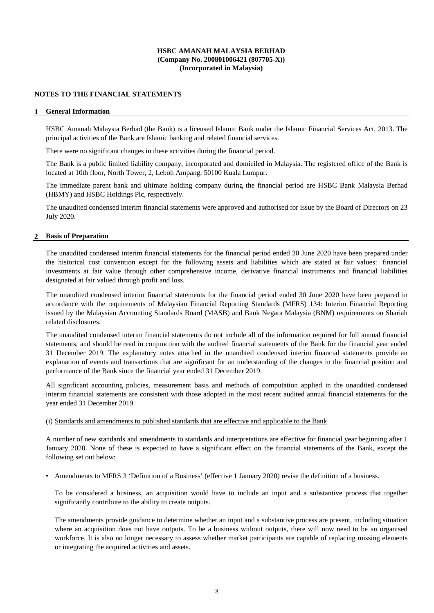### **NOTES TO THE FINANCIAL STATEMENTS**

#### **1 General Information**

HSBC Amanah Malaysia Berhad (the Bank) is a licensed Islamic Bank under the Islamic Financial Services Act, 2013. The principal activities of the Bank are Islamic banking and related financial services.

There were no significant changes in these activities during the financial period.

The Bank is a public limited liability company, incorporated and domiciled in Malaysia. The registered office of the Bank is located at 10th floor, North Tower, 2, Leboh Ampang, 50100 Kuala Lumpur.

The immediate parent bank and ultimate holding company during the financial period are HSBC Bank Malaysia Berhad (HBMY) and HSBC Holdings Plc, respectively.

The unaudited condensed interim financial statements were approved and authorised for issue by the Board of Directors on 23 July 2020.

#### **2 Basis of Preparation**

The unaudited condensed interim financial statements for the financial period ended 30 June 2020 have been prepared under the historical cost convention except for the following assets and liabilities which are stated at fair values: financial investments at fair value through other comprehensive income, derivative financial instruments and financial liabilities designated at fair valued through profit and loss.

The unaudited condensed interim financial statements for the financial period ended 30 June 2020 have been prepared in accordance with the requirements of Malaysian Financial Reporting Standards (MFRS) 134: Interim Financial Reporting issued by the Malaysian Accounting Standards Board (MASB) and Bank Negara Malaysia (BNM) requirements on Shariah related disclosures.

The unaudited condensed interim financial statements do not include all of the information required for full annual financial statements, and should be read in conjunction with the audited financial statements of the Bank for the financial year ended 31 December 2019. The explanatory notes attached in the unaudited condensed interim financial statements provide an explanation of events and transactions that are significant for an understanding of the changes in the financial position and performance of the Bank since the financial year ended 31 December 2019.

All significant accounting policies, measurement basis and methods of computation applied in the unaudited condensed interim financial statements are consistent with those adopted in the most recent audited annual financial statements for the year ended 31 December 2019.

## (i) Standards and amendments to published standards that are effective and applicable to the Bank

A number of new standards and amendments to standards and interpretations are effective for financial year beginning after 1 January 2020. None of these is expected to have a significant effect on the financial statements of the Bank, except the following set out below:

• Amendments to MFRS 3 'Definition of a Business' (effective 1 January 2020) revise the definition of a business.

To be considered a business, an acquisition would have to include an input and a substantive process that together significantly contribute to the ability to create outputs.

The amendments provide guidance to determine whether an input and a substantive process are present, including situation where an acquisition does not have outputs. To be a business without outputs, there will now need to be an organised workforce. It is also no longer necessary to assess whether market participants are capable of replacing missing elements or integrating the acquired activities and assets.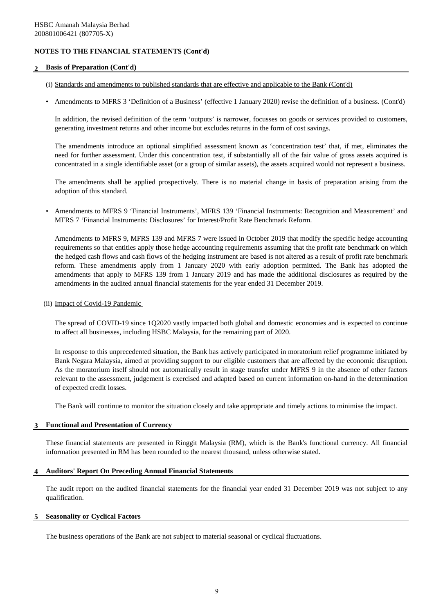## **2 Basis of Preparation (Cont'd)**

- (i) Standards and amendments to published standards that are effective and applicable to the Bank (Cont'd)
- Amendments to MFRS 3 'Definition of a Business' (effective 1 January 2020) revise the definition of a business. (Cont'd)

In addition, the revised definition of the term 'outputs' is narrower, focusses on goods or services provided to customers, generating investment returns and other income but excludes returns in the form of cost savings.

The amendments introduce an optional simplified assessment known as 'concentration test' that, if met, eliminates the need for further assessment. Under this concentration test, if substantially all of the fair value of gross assets acquired is concentrated in a single identifiable asset (or a group of similar assets), the assets acquired would not represent a business.

The amendments shall be applied prospectively. There is no material change in basis of preparation arising from the adoption of this standard.

• Amendments to MFRS 9 'Financial Instruments', MFRS 139 'Financial Instruments: Recognition and Measurement' and MFRS 7 'Financial Instruments: Disclosures' for Interest/Profit Rate Benchmark Reform.

Amendments to MFRS 9, MFRS 139 and MFRS 7 were issued in October 2019 that modify the specific hedge accounting requirements so that entities apply those hedge accounting requirements assuming that the profit rate benchmark on which the hedged cash flows and cash flows of the hedging instrument are based is not altered as a result of profit rate benchmark reform. These amendments apply from 1 January 2020 with early adoption permitted. The Bank has adopted the amendments that apply to MFRS 139 from 1 January 2019 and has made the additional disclosures as required by the amendments in the audited annual financial statements for the year ended 31 December 2019.

(ii) Impact of Covid-19 Pandemic

The spread of COVID-19 since 1Q2020 vastly impacted both global and domestic economies and is expected to continue to affect all businesses, including HSBC Malaysia, for the remaining part of 2020.

In response to this unprecedented situation, the Bank has actively participated in moratorium relief programme initiated by Bank Negara Malaysia, aimed at providing support to our eligible customers that are affected by the economic disruption. As the moratorium itself should not automatically result in stage transfer under MFRS 9 in the absence of other factors relevant to the assessment, judgement is exercised and adapted based on current information on-hand in the determination of expected credit losses.

The Bank will continue to monitor the situation closely and take appropriate and timely actions to minimise the impact.

### **3 Functional and Presentation of Currency**

These financial statements are presented in Ringgit Malaysia (RM), which is the Bank's functional currency. All financial information presented in RM has been rounded to the nearest thousand, unless otherwise stated.

### **4 Auditors' Report On Preceding Annual Financial Statements**

The audit report on the audited financial statements for the financial year ended 31 December 2019 was not subject to any qualification.

#### **5 Seasonality or Cyclical Factors**

The business operations of the Bank are not subject to material seasonal or cyclical fluctuations.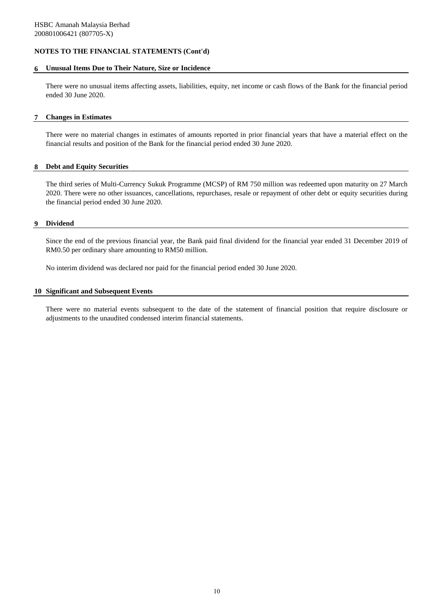### **6 Unusual Items Due to Their Nature, Size or Incidence**

There were no unusual items affecting assets, liabilities, equity, net income or cash flows of the Bank for the financial period ended 30 June 2020.

### **7 Changes in Estimates**

There were no material changes in estimates of amounts reported in prior financial years that have a material effect on the financial results and position of the Bank for the financial period ended 30 June 2020.

### **8 Debt and Equity Securities**

The third series of Multi-Currency Sukuk Programme (MCSP) of RM 750 million was redeemed upon maturity on 27 March 2020. There were no other issuances, cancellations, repurchases, resale or repayment of other debt or equity securities during the financial period ended 30 June 2020.

#### **9 Dividend**

Since the end of the previous financial year, the Bank paid final dividend for the financial year ended 31 December 2019 of RM0.50 per ordinary share amounting to RM50 million.

No interim dividend was declared nor paid for the financial period ended 30 June 2020.

### **10 Significant and Subsequent Events**

There were no material events subsequent to the date of the statement of financial position that require disclosure or adjustments to the unaudited condensed interim financial statements.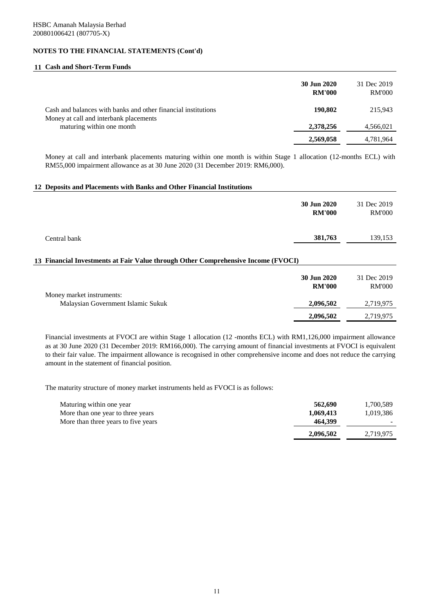### **11 Cash and Short-Term Funds**

|                                                                                                         | 30 Jun 2020<br><b>RM'000</b> | 31 Dec 2019<br><b>RM'000</b> |
|---------------------------------------------------------------------------------------------------------|------------------------------|------------------------------|
| Cash and balances with banks and other financial institutions<br>Money at call and interbank placements | 190,802                      | 215,943                      |
| maturing within one month                                                                               | 2,378,256                    | 4,566,021                    |
|                                                                                                         | 2,569,058                    | 4,781,964                    |

Money at call and interbank placements maturing within one month is within Stage 1 allocation (12-months ECL) with RM55,000 impairment allowance as at 30 June 2020 (31 December 2019: RM6,000).

### **12 Deposits and Placements with Banks and Other Financial Institutions**

|                                                                                   | 30 Jun 2020<br><b>RM'000</b> | 31 Dec 2019<br><b>RM'000</b> |
|-----------------------------------------------------------------------------------|------------------------------|------------------------------|
| Central bank                                                                      | 381,763                      | 139,153                      |
| 13 Financial Investments at Fair Value through Other Comprehensive Income (FVOCI) |                              |                              |
|                                                                                   | 30 Jun 2020                  | 31 Dec 2019                  |

|                                    | JU JUN 4040   | JI DU ZUIJ    |
|------------------------------------|---------------|---------------|
|                                    | <b>RM'000</b> | <b>RM'000</b> |
| Money market instruments:          |               |               |
| Malaysian Government Islamic Sukuk | 2.096.502     | 2,719,975     |
|                                    | 2,096,502     | 2,719,975     |

Financial investments at FVOCI are within Stage 1 allocation (12 -months ECL) with RM1,126,000 impairment allowance as at 30 June 2020 (31 December 2019: RM166,000). The carrying amount of financial investments at FVOCI is equivalent to their fair value. The impairment allowance is recognised in other comprehensive income and does not reduce the carrying amount in the statement of financial position.

The maturity structure of money market instruments held as FVOCI is as follows:

| Maturing within one year<br>More than one year to three years | 562,690<br>1,069,413 | 1,700,589<br>1,019,386 |
|---------------------------------------------------------------|----------------------|------------------------|
| More than three years to five years                           | 464.399              |                        |
|                                                               | 2,096,502            | 2.719.975              |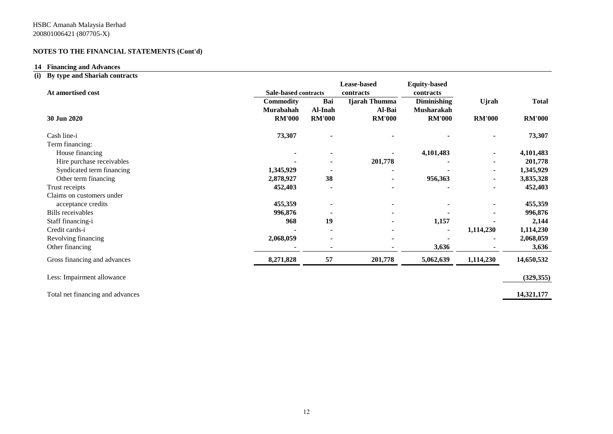# **14 Financing and Advances**

# **(i) By type and Shariah contracts**

|                                  |                  |                                          | Lease-based    | <b>Equity-based</b> |                |               |
|----------------------------------|------------------|------------------------------------------|----------------|---------------------|----------------|---------------|
| At amortised cost                |                  | <b>Sale-based contracts</b><br>contracts |                | contracts           |                |               |
|                                  | <b>Commodity</b> | Bai                                      | Ijarah Thumma  | <b>Diminishing</b>  | Ujrah          | <b>Total</b>  |
|                                  | Murabahah        | Al-Inah                                  | Al-Bai         | Musharakah          |                |               |
| 30 Jun 2020                      | <b>RM'000</b>    | <b>RM'000</b>                            | <b>RM'000</b>  | <b>RM'000</b>       | <b>RM'000</b>  | <b>RM'000</b> |
| Cash line-i                      | 73,307           | $\blacksquare$                           |                |                     |                | 73,307        |
| Term financing:                  |                  |                                          |                |                     |                |               |
| House financing                  |                  | $\blacksquare$                           |                | 4,101,483           |                | 4,101,483     |
| Hire purchase receivables        |                  |                                          | 201,778        |                     |                | 201,778       |
| Syndicated term financing        | 1,345,929        |                                          |                |                     | ٠              | 1,345,929     |
| Other term financing             | 2,878,927        | 38                                       |                | 956,363             |                | 3,835,328     |
| Trust receipts                   | 452,403          | $\blacksquare$                           |                |                     | $\blacksquare$ | 452,403       |
| Claims on customers under        |                  |                                          |                |                     |                |               |
| acceptance credits               | 455,359          | $\blacksquare$                           | $\blacksquare$ |                     | $\blacksquare$ | 455,359       |
| <b>Bills</b> receivables         | 996,876          |                                          |                |                     |                | 996,876       |
| Staff financing-i                | 968              | 19                                       | $\blacksquare$ | 1,157               |                | 2,144         |
| Credit cards-i                   |                  |                                          |                |                     | 1,114,230      | 1,114,230     |
| Revolving financing              | 2,068,059        |                                          |                |                     |                | 2,068,059     |
| Other financing                  |                  | $\blacksquare$                           |                | 3,636               |                | 3,636         |
| Gross financing and advances     | 8,271,828        | 57                                       | 201,778        | 5,062,639           | 1,114,230      | 14,650,532    |
| Less: Impairment allowance       |                  |                                          |                |                     |                | (329, 355)    |
| Total net financing and advances |                  |                                          |                |                     |                | 14,321,177    |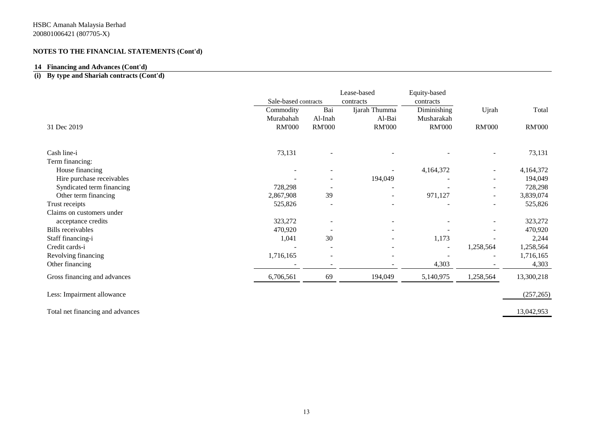# **14 Financing and Advances (Cont'd)**

# **(i) By type and Shariah contracts (Cont'd)**

|                              |                      |                          | Lease-based              | Equity-based  |                          |               |  |
|------------------------------|----------------------|--------------------------|--------------------------|---------------|--------------------------|---------------|--|
|                              | Sale-based contracts |                          | contracts                | contracts     |                          |               |  |
|                              | Commodity            | Bai                      | Ijarah Thumma            | Diminishing   | Ujrah                    | Total         |  |
|                              | Murabahah            | Al-Inah                  | Al-Bai                   | Musharakah    |                          |               |  |
| 31 Dec 2019                  | <b>RM'000</b>        | <b>RM'000</b>            | <b>RM'000</b>            | <b>RM'000</b> | <b>RM'000</b>            | <b>RM'000</b> |  |
| Cash line-i                  | 73,131               | $\overline{\phantom{a}}$ |                          |               | $\overline{\phantom{a}}$ | 73,131        |  |
| Term financing:              |                      |                          |                          |               |                          |               |  |
| House financing              |                      | ۰                        |                          | 4,164,372     | $\overline{\phantom{a}}$ | 4,164,372     |  |
| Hire purchase receivables    |                      |                          | 194,049                  |               | $\overline{\phantom{a}}$ | 194,049       |  |
| Syndicated term financing    | 728,298              |                          | $\overline{a}$           |               | $\overline{\phantom{a}}$ | 728,298       |  |
| Other term financing         | 2,867,908            | 39                       | $\overline{\phantom{a}}$ | 971,127       | $\overline{\phantom{a}}$ | 3,839,074     |  |
| Trust receipts               | 525,826              | $\overline{\phantom{a}}$ |                          |               |                          | 525,826       |  |
| Claims on customers under    |                      |                          |                          |               |                          |               |  |
| acceptance credits           | 323,272              |                          |                          |               |                          | 323,272       |  |
| <b>Bills</b> receivables     | 470,920              |                          |                          |               |                          | 470,920       |  |
| Staff financing-i            | 1,041                | 30                       |                          | 1,173         |                          | 2,244         |  |
| Credit cards-i               |                      | $\overline{\phantom{a}}$ |                          |               | 1,258,564                | 1,258,564     |  |
| Revolving financing          | 1,716,165            | ÷                        |                          |               |                          | 1,716,165     |  |
| Other financing              |                      | $\overline{\phantom{a}}$ |                          | 4,303         |                          | 4,303         |  |
| Gross financing and advances | 6,706,561            | 69                       | 194,049                  | 5,140,975     | 1,258,564                | 13,300,218    |  |
| Less: Impairment allowance   |                      |                          |                          |               |                          | (257, 265)    |  |
|                              |                      |                          |                          |               |                          |               |  |

Total net financing and advances 13,042,953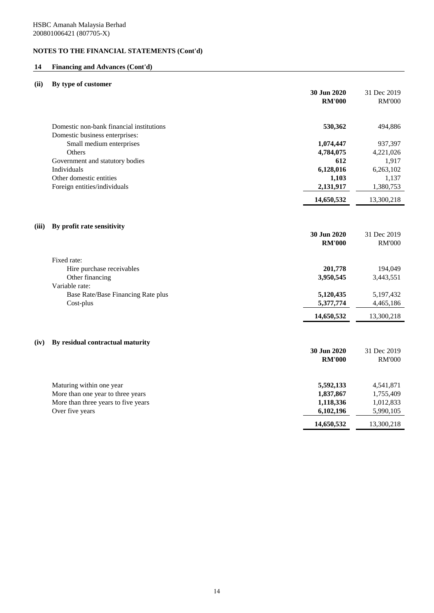# **14 Financing and Advances (Cont'd)**

# **(ii) By type of customer**

|       |                                                                            | 30 Jun 2020<br><b>RM'000</b> | 31 Dec 2019<br><b>RM'000</b> |
|-------|----------------------------------------------------------------------------|------------------------------|------------------------------|
|       | Domestic non-bank financial institutions<br>Domestic business enterprises: | 530,362                      | 494,886                      |
|       | Small medium enterprises                                                   | 1,074,447                    | 937,397                      |
|       | Others                                                                     | 4,784,075                    | 4,221,026                    |
|       | Government and statutory bodies                                            | 612                          | 1,917                        |
|       | Individuals                                                                | 6,128,016                    | 6,263,102                    |
|       | Other domestic entities<br>Foreign entities/individuals                    | 1,103<br>2,131,917           | 1,137<br>1,380,753           |
|       |                                                                            |                              |                              |
|       |                                                                            | 14,650,532                   | 13,300,218                   |
| (iii) | By profit rate sensitivity                                                 |                              |                              |
|       |                                                                            | 30 Jun 2020                  | 31 Dec 2019                  |
|       |                                                                            | <b>RM'000</b>                | <b>RM'000</b>                |
|       | Fixed rate:                                                                |                              |                              |
|       | Hire purchase receivables                                                  | 201,778                      | 194,049                      |
|       | Other financing                                                            | 3,950,545                    | 3,443,551                    |
|       | Variable rate:                                                             |                              |                              |
|       | Base Rate/Base Financing Rate plus<br>Cost-plus                            | 5,120,435<br>5,377,774       | 5,197,432<br>4,465,186       |
|       |                                                                            | 14,650,532                   | 13,300,218                   |
|       |                                                                            |                              |                              |
|       |                                                                            |                              |                              |
| (iv)  | By residual contractual maturity                                           | 30 Jun 2020                  | 31 Dec 2019                  |
|       |                                                                            | <b>RM'000</b>                | <b>RM'000</b>                |
|       |                                                                            |                              |                              |
|       | Maturing within one year                                                   | 5,592,133                    | 4,541,871                    |
|       | More than one year to three years                                          | 1,837,867                    | 1,755,409                    |
|       | More than three years to five years                                        | 1,118,336                    | 1,012,833                    |
|       | Over five years                                                            | 6,102,196                    | 5,990,105                    |
|       |                                                                            | 14,650,532                   | 13,300,218                   |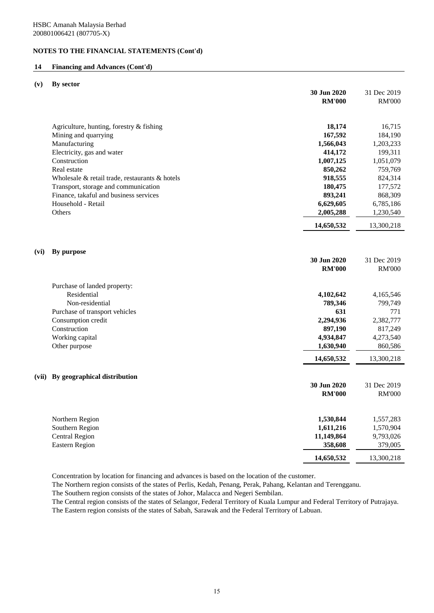# **14 Financing and Advances (Cont'd)**

### **(v) By sector**

|      |                                                | 30 Jun 2020<br><b>RM'000</b> | 31 Dec 2019<br><b>RM'000</b> |
|------|------------------------------------------------|------------------------------|------------------------------|
|      | Agriculture, hunting, forestry & fishing       | 18,174                       | 16,715                       |
|      | Mining and quarrying                           | 167,592                      | 184,190                      |
|      | Manufacturing                                  | 1,566,043                    | 1,203,233                    |
|      | Electricity, gas and water                     | 414,172                      | 199,311                      |
|      | Construction                                   | 1,007,125                    | 1,051,079                    |
|      | Real estate                                    | 850,262                      | 759,769                      |
|      | Wholesale & retail trade, restaurants & hotels | 918,555                      | 824,314                      |
|      | Transport, storage and communication           | 180,475                      | 177,572                      |
|      | Finance, takaful and business services         | 893,241                      | 868,309                      |
|      | Household - Retail                             | 6,629,605                    | 6,785,186                    |
|      | <b>Others</b>                                  | 2,005,288                    | 1,230,540                    |
|      |                                                | 14,650,532                   | 13,300,218                   |
|      |                                                |                              |                              |
| (vi) | By purpose                                     |                              |                              |
|      |                                                | 30 Jun 2020                  | 31 Dec 2019                  |
|      |                                                | <b>RM'000</b>                | <b>RM'000</b>                |
|      | Purchase of landed property:                   |                              |                              |
|      | Residential                                    | 4,102,642                    | 4,165,546                    |
|      | Non-residential                                | 789,346                      | 799,749                      |
|      | Purchase of transport vehicles                 | 631                          | 771                          |
|      | Consumption credit                             | 2,294,936                    | 2,382,777                    |
|      | Construction                                   | 897,190                      | 817,249                      |
|      | Working capital                                | 4,934,847                    | 4,273,540                    |
|      | Other purpose                                  | 1,630,940                    | 860,586                      |
|      |                                                | 14,650,532                   | 13,300,218                   |
|      | (vii) By geographical distribution             |                              |                              |
|      |                                                | 30 Jun 2020                  | 31 Dec 2019                  |
|      |                                                | <b>RM'000</b>                | <b>RM'000</b>                |
|      |                                                |                              |                              |
|      | Northern Region                                | 1,530,844                    | 1,557,283                    |
|      | Southern Region                                | 1,611,216                    | 1,570,904                    |
|      | <b>Central Region</b>                          | 11,149,864                   | 9,793,026                    |
|      | <b>Eastern Region</b>                          | 358,608                      | 379,005                      |
|      |                                                | 14,650,532                   | 13,300,218                   |

Concentration by location for financing and advances is based on the location of the customer.

The Northern region consists of the states of Perlis, Kedah, Penang, Perak, Pahang, Kelantan and Terengganu.

The Southern region consists of the states of Johor, Malacca and Negeri Sembilan.

The Central region consists of the states of Selangor, Federal Territory of Kuala Lumpur and Federal Territory of Putrajaya. The Eastern region consists of the states of Sabah, Sarawak and the Federal Territory of Labuan.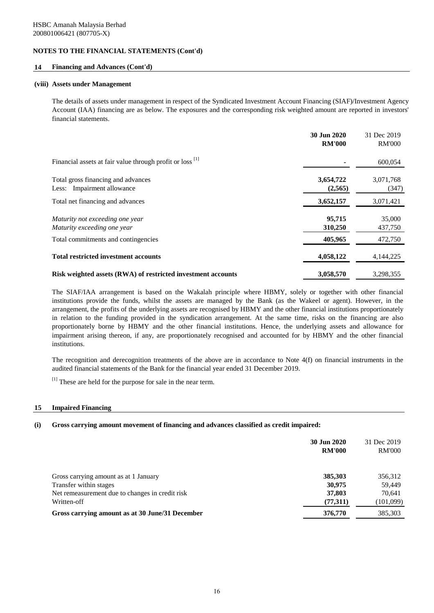### **14 Financing and Advances (Cont'd)**

### **(viii) Assets under Management**

The details of assets under management in respect of the Syndicated Investment Account Financing (SIAF)/Investment Agency Account (IAA) financing are as below. The exposures and the corresponding risk weighted amount are reported in investors' financial statements.

|                                                                  | 30 Jun 2020<br><b>RM'000</b> | 31 Dec 2019<br><b>RM'000</b> |
|------------------------------------------------------------------|------------------------------|------------------------------|
| Financial assets at fair value through profit or loss [1]        |                              | 600,054                      |
| Total gross financing and advances<br>Less: Impairment allowance | 3,654,722<br>(2,565)         | 3,071,768<br>(347)           |
| Total net financing and advances                                 | 3,652,157                    | 3,071,421                    |
| Maturity not exceeding one year<br>Maturity exceeding one year   | 95,715<br>310,250            | 35,000<br>437,750            |
| Total commitments and contingencies                              | 405,965                      | 472,750                      |
| <b>Total restricted investment accounts</b>                      | 4,058,122                    | 4, 144, 225                  |
| Risk weighted assets (RWA) of restricted investment accounts     | 3,058,570                    | 3,298,355                    |

The SIAF/IAA arrangement is based on the Wakalah principle where HBMY, solely or together with other financial institutions provide the funds, whilst the assets are managed by the Bank (as the Wakeel or agent). However, in the arrangement, the profits of the underlying assets are recognised by HBMY and the other financial institutions proportionately in relation to the funding provided in the syndication arrangement. At the same time, risks on the financing are also proportionately borne by HBMY and the other financial institutions. Hence, the underlying assets and allowance for impairment arising thereon, if any, are proportionately recognised and accounted for by HBMY and the other financial institutions.

The recognition and derecognition treatments of the above are in accordance to Note 4(f) on financial instruments in the audited financial statements of the Bank for the financial year ended 31 December 2019.

[1] These are held for the purpose for sale in the near term.

#### **15 Impaired Financing**

### **(i) Gross carrying amount movement of financing and advances classified as credit impaired:**

|                                                 | 30 Jun 2020<br><b>RM'000</b> | 31 Dec 2019<br><b>RM'000</b> |
|-------------------------------------------------|------------------------------|------------------------------|
| Gross carrying amount as at 1 January           | 385,303                      | 356,312                      |
| Transfer within stages                          | 30,975                       | 59,449                       |
| Net remeasurement due to changes in credit risk | 37,803                       | 70,641                       |
| Written-off                                     | (77,311)                     | (101,099)                    |
| Gross carrying amount as at 30 June/31 December | 376,770                      | 385,303                      |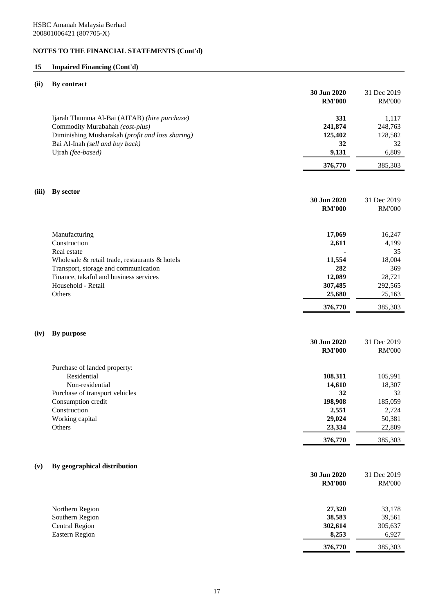# **15 Impaired Financing (Cont'd)**

# **(ii) By contract**

| Ijarah Thumma Al-Bai (AITAB) (hire purchase)<br>331<br>1,117<br>Commodity Murabahah (cost-plus)<br>241,874<br>248,763<br>Diminishing Musharakah (profit and loss sharing)<br>125,402<br>128,582<br>Bai Al-Inah (sell and buy back)<br>32<br>32<br>Ujrah (fee-based)<br>9,131<br>6,809<br>376,770<br>385,303<br>By sector<br>30 Jun 2020<br>31 Dec 2019<br><b>RM'000</b><br><b>RM'000</b><br>Manufacturing<br>17,069<br>16,247<br>Construction<br>2,611<br>4,199<br>Real estate<br>35<br>Wholesale & retail trade, restaurants & hotels<br>11,554<br>18,004<br>Transport, storage and communication<br>282<br>369<br>12,089<br>Finance, takaful and business services<br>28,721<br>Household - Retail<br>307,485<br>292,565<br>Others<br>25,680<br>25,163<br>376,770<br>385,303<br><b>By purpose</b><br>30 Jun 2020<br>31 Dec 2019<br><b>RM'000</b><br><b>RM'000</b><br>Purchase of landed property:<br>Residential<br>108,311<br>105,991<br>Non-residential<br>14,610<br>18,307<br>32<br>Purchase of transport vehicles<br>32<br>Consumption credit<br>198,908<br>185,059<br>2,551<br>Construction<br>2,724<br>29,024<br>50,381<br>Working capital<br>Others<br>23,334<br>22,809<br>376,770<br>385,303<br>(v)<br>By geographical distribution<br>30 Jun 2020<br>31 Dec 2019<br><b>RM'000</b><br><b>RM'000</b><br>27,320<br>Northern Region<br>33,178<br>Southern Region<br>38,583<br>39,561<br>302,614<br><b>Central Region</b><br>305,637<br>Eastern Region<br>8,253<br>6,927<br>376,770<br>385,303 |       | 30 Jun 2020<br><b>RM'000</b> | 31 Dec 2019<br><b>RM'000</b> |
|------------------------------------------------------------------------------------------------------------------------------------------------------------------------------------------------------------------------------------------------------------------------------------------------------------------------------------------------------------------------------------------------------------------------------------------------------------------------------------------------------------------------------------------------------------------------------------------------------------------------------------------------------------------------------------------------------------------------------------------------------------------------------------------------------------------------------------------------------------------------------------------------------------------------------------------------------------------------------------------------------------------------------------------------------------------------------------------------------------------------------------------------------------------------------------------------------------------------------------------------------------------------------------------------------------------------------------------------------------------------------------------------------------------------------------------------------------------------------------------------------|-------|------------------------------|------------------------------|
|                                                                                                                                                                                                                                                                                                                                                                                                                                                                                                                                                                                                                                                                                                                                                                                                                                                                                                                                                                                                                                                                                                                                                                                                                                                                                                                                                                                                                                                                                                      |       |                              |                              |
|                                                                                                                                                                                                                                                                                                                                                                                                                                                                                                                                                                                                                                                                                                                                                                                                                                                                                                                                                                                                                                                                                                                                                                                                                                                                                                                                                                                                                                                                                                      |       |                              |                              |
|                                                                                                                                                                                                                                                                                                                                                                                                                                                                                                                                                                                                                                                                                                                                                                                                                                                                                                                                                                                                                                                                                                                                                                                                                                                                                                                                                                                                                                                                                                      |       |                              |                              |
|                                                                                                                                                                                                                                                                                                                                                                                                                                                                                                                                                                                                                                                                                                                                                                                                                                                                                                                                                                                                                                                                                                                                                                                                                                                                                                                                                                                                                                                                                                      | (iii) |                              |                              |
|                                                                                                                                                                                                                                                                                                                                                                                                                                                                                                                                                                                                                                                                                                                                                                                                                                                                                                                                                                                                                                                                                                                                                                                                                                                                                                                                                                                                                                                                                                      |       |                              |                              |
|                                                                                                                                                                                                                                                                                                                                                                                                                                                                                                                                                                                                                                                                                                                                                                                                                                                                                                                                                                                                                                                                                                                                                                                                                                                                                                                                                                                                                                                                                                      |       |                              |                              |
|                                                                                                                                                                                                                                                                                                                                                                                                                                                                                                                                                                                                                                                                                                                                                                                                                                                                                                                                                                                                                                                                                                                                                                                                                                                                                                                                                                                                                                                                                                      |       |                              |                              |
|                                                                                                                                                                                                                                                                                                                                                                                                                                                                                                                                                                                                                                                                                                                                                                                                                                                                                                                                                                                                                                                                                                                                                                                                                                                                                                                                                                                                                                                                                                      |       |                              |                              |
|                                                                                                                                                                                                                                                                                                                                                                                                                                                                                                                                                                                                                                                                                                                                                                                                                                                                                                                                                                                                                                                                                                                                                                                                                                                                                                                                                                                                                                                                                                      |       |                              |                              |
|                                                                                                                                                                                                                                                                                                                                                                                                                                                                                                                                                                                                                                                                                                                                                                                                                                                                                                                                                                                                                                                                                                                                                                                                                                                                                                                                                                                                                                                                                                      |       |                              |                              |
|                                                                                                                                                                                                                                                                                                                                                                                                                                                                                                                                                                                                                                                                                                                                                                                                                                                                                                                                                                                                                                                                                                                                                                                                                                                                                                                                                                                                                                                                                                      |       |                              |                              |
|                                                                                                                                                                                                                                                                                                                                                                                                                                                                                                                                                                                                                                                                                                                                                                                                                                                                                                                                                                                                                                                                                                                                                                                                                                                                                                                                                                                                                                                                                                      |       |                              |                              |
|                                                                                                                                                                                                                                                                                                                                                                                                                                                                                                                                                                                                                                                                                                                                                                                                                                                                                                                                                                                                                                                                                                                                                                                                                                                                                                                                                                                                                                                                                                      | (iv)  |                              |                              |
|                                                                                                                                                                                                                                                                                                                                                                                                                                                                                                                                                                                                                                                                                                                                                                                                                                                                                                                                                                                                                                                                                                                                                                                                                                                                                                                                                                                                                                                                                                      |       |                              |                              |
|                                                                                                                                                                                                                                                                                                                                                                                                                                                                                                                                                                                                                                                                                                                                                                                                                                                                                                                                                                                                                                                                                                                                                                                                                                                                                                                                                                                                                                                                                                      |       |                              |                              |
|                                                                                                                                                                                                                                                                                                                                                                                                                                                                                                                                                                                                                                                                                                                                                                                                                                                                                                                                                                                                                                                                                                                                                                                                                                                                                                                                                                                                                                                                                                      |       |                              |                              |
|                                                                                                                                                                                                                                                                                                                                                                                                                                                                                                                                                                                                                                                                                                                                                                                                                                                                                                                                                                                                                                                                                                                                                                                                                                                                                                                                                                                                                                                                                                      |       |                              |                              |
|                                                                                                                                                                                                                                                                                                                                                                                                                                                                                                                                                                                                                                                                                                                                                                                                                                                                                                                                                                                                                                                                                                                                                                                                                                                                                                                                                                                                                                                                                                      |       |                              |                              |
|                                                                                                                                                                                                                                                                                                                                                                                                                                                                                                                                                                                                                                                                                                                                                                                                                                                                                                                                                                                                                                                                                                                                                                                                                                                                                                                                                                                                                                                                                                      |       |                              |                              |
|                                                                                                                                                                                                                                                                                                                                                                                                                                                                                                                                                                                                                                                                                                                                                                                                                                                                                                                                                                                                                                                                                                                                                                                                                                                                                                                                                                                                                                                                                                      |       |                              |                              |
|                                                                                                                                                                                                                                                                                                                                                                                                                                                                                                                                                                                                                                                                                                                                                                                                                                                                                                                                                                                                                                                                                                                                                                                                                                                                                                                                                                                                                                                                                                      |       |                              |                              |
|                                                                                                                                                                                                                                                                                                                                                                                                                                                                                                                                                                                                                                                                                                                                                                                                                                                                                                                                                                                                                                                                                                                                                                                                                                                                                                                                                                                                                                                                                                      |       |                              |                              |
|                                                                                                                                                                                                                                                                                                                                                                                                                                                                                                                                                                                                                                                                                                                                                                                                                                                                                                                                                                                                                                                                                                                                                                                                                                                                                                                                                                                                                                                                                                      |       |                              |                              |
|                                                                                                                                                                                                                                                                                                                                                                                                                                                                                                                                                                                                                                                                                                                                                                                                                                                                                                                                                                                                                                                                                                                                                                                                                                                                                                                                                                                                                                                                                                      |       |                              |                              |
|                                                                                                                                                                                                                                                                                                                                                                                                                                                                                                                                                                                                                                                                                                                                                                                                                                                                                                                                                                                                                                                                                                                                                                                                                                                                                                                                                                                                                                                                                                      |       |                              |                              |
|                                                                                                                                                                                                                                                                                                                                                                                                                                                                                                                                                                                                                                                                                                                                                                                                                                                                                                                                                                                                                                                                                                                                                                                                                                                                                                                                                                                                                                                                                                      |       |                              |                              |
|                                                                                                                                                                                                                                                                                                                                                                                                                                                                                                                                                                                                                                                                                                                                                                                                                                                                                                                                                                                                                                                                                                                                                                                                                                                                                                                                                                                                                                                                                                      |       |                              |                              |
|                                                                                                                                                                                                                                                                                                                                                                                                                                                                                                                                                                                                                                                                                                                                                                                                                                                                                                                                                                                                                                                                                                                                                                                                                                                                                                                                                                                                                                                                                                      |       |                              |                              |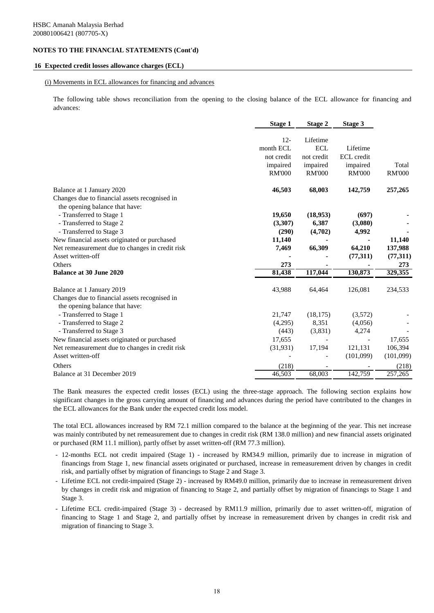### **16 Expected credit losses allowance charges (ECL)**

#### (i) Movements in ECL allowances for financing and advances

The following table shows reconciliation from the opening to the closing balance of the ECL allowance for financing and advances:

|                                                                                                              | <b>Stage 1</b> | Stage 2       | Stage 3       |               |
|--------------------------------------------------------------------------------------------------------------|----------------|---------------|---------------|---------------|
|                                                                                                              | $12 -$         | Lifetime      |               |               |
|                                                                                                              | month ECL      | <b>ECL</b>    | Lifetime      |               |
|                                                                                                              | not credit     | not credit    | ECL credit    |               |
|                                                                                                              | impaired       | impaired      | impaired      | Total         |
|                                                                                                              | <b>RM'000</b>  | <b>RM'000</b> | <b>RM'000</b> | <b>RM'000</b> |
| Balance at 1 January 2020<br>Changes due to financial assets recognised in<br>the opening balance that have: | 46,503         | 68,003        | 142,759       | 257,265       |
| - Transferred to Stage 1                                                                                     | 19,650         | (18,953)      | (697)         |               |
| - Transferred to Stage 2                                                                                     | (3,307)        | 6,387         | (3,080)       |               |
| - Transferred to Stage 3                                                                                     | (290)          | (4,702)       | 4,992         |               |
| New financial assets originated or purchased                                                                 | 11,140         |               |               | 11,140        |
| Net remeasurement due to changes in credit risk                                                              | 7,469          | 66,309        | 64,210        | 137,988       |
| Asset written-off                                                                                            |                |               | (77,311)      | (77,311)      |
| <b>Others</b>                                                                                                | 273            |               |               | 273           |
| <b>Balance at 30 June 2020</b>                                                                               | 81,438         | 117,044       | 130,873       | 329,355       |
| Balance at 1 January 2019                                                                                    | 43,988         | 64,464        | 126,081       | 234,533       |
| Changes due to financial assets recognised in<br>the opening balance that have:                              |                |               |               |               |
| - Transferred to Stage 1                                                                                     | 21,747         | (18, 175)     | (3,572)       |               |
| - Transferred to Stage 2                                                                                     | (4,295)        | 8,351         | (4,056)       |               |
| - Transferred to Stage 3                                                                                     | (443)          | (3,831)       | 4,274         |               |
| New financial assets originated or purchased                                                                 | 17,655         |               |               | 17,655        |
| Net remeasurement due to changes in credit risk                                                              | (31, 931)      | 17,194        | 121,131       | 106,394       |
| Asset written-off                                                                                            |                |               | (101,099)     | (101,099)     |
| <b>Others</b>                                                                                                | (218)          |               |               | (218)         |
| Balance at 31 December 2019                                                                                  | 46,503         | 68,003        | 142,759       | 257,265       |

The Bank measures the expected credit losses (ECL) using the three-stage approach. The following section explains how significant changes in the gross carrying amount of financing and advances during the period have contributed to the changes in the ECL allowances for the Bank under the expected credit loss model.

The total ECL allowances increased by RM 72.1 million compared to the balance at the beginning of the year. This net increase was mainly contributed by net remeasurement due to changes in credit risk (RM 138.0 million) and new financial assets originated or purchased (RM 11.1 million), partly offset by asset written-off (RM 77.3 million).

- 12-months ECL not credit impaired (Stage 1) increased by RM34.9 million, primarily due to increase in migration of financings from Stage 1, new financial assets originated or purchased, increase in remeasurement driven by changes in credit risk, and partially offset by migration of financings to Stage 2 and Stage 3.
- Lifetime ECL not credit-impaired (Stage 2) increased by RM49.0 million, primarily due to increase in remeasurement driven by changes in credit risk and migration of financing to Stage 2, and partially offset by migration of financings to Stage 1 and Stage 3.
- Lifetime ECL credit-impaired (Stage 3) decreased by RM11.9 million, primarily due to asset written-off, migration of financing to Stage 1 and Stage 2, and partially offset by increase in remeasurement driven by changes in credit risk and migration of financing to Stage 3.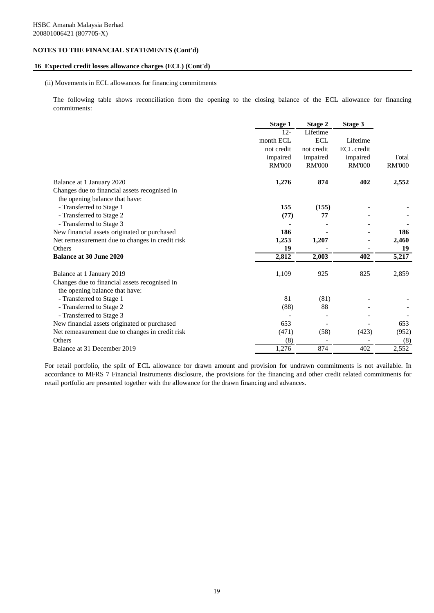### **16 Expected credit losses allowance charges (ECL) (Cont'd)**

### (ii) Movements in ECL allowances for financing commitments

The following table shows reconciliation from the opening to the closing balance of the ECL allowance for financing commitments:

|                                                 | <b>Stage 1</b> | Stage 2       | Stage 3           |               |
|-------------------------------------------------|----------------|---------------|-------------------|---------------|
|                                                 | $12 -$         | Lifetime      |                   |               |
|                                                 | month ECL      | <b>ECL</b>    | Lifetime          |               |
|                                                 | not credit     | not credit    | <b>ECL</b> credit |               |
|                                                 | impaired       | impaired      | impaired          | Total         |
|                                                 | <b>RM'000</b>  | <b>RM'000</b> | <b>RM'000</b>     | <b>RM'000</b> |
| Balance at 1 January 2020                       | 1,276          | 874           | 402               | 2,552         |
| Changes due to financial assets recognised in   |                |               |                   |               |
| the opening balance that have:                  |                |               |                   |               |
| - Transferred to Stage 1                        | 155            | (155)         |                   |               |
| - Transferred to Stage 2                        | (77)           | 77            |                   |               |
| - Transferred to Stage 3                        |                |               |                   |               |
| New financial assets originated or purchased    | 186            |               |                   | 186           |
| Net remeasurement due to changes in credit risk | 1,253          | 1,207         |                   | 2,460         |
| <b>Others</b>                                   | 19             |               |                   | 19            |
| <b>Balance at 30 June 2020</b>                  | 2,812          | 2,003         | 402               | 5,217         |
| Balance at 1 January 2019                       | 1,109          | 925           | 825               | 2,859         |
| Changes due to financial assets recognised in   |                |               |                   |               |
| the opening balance that have:                  |                |               |                   |               |
| - Transferred to Stage 1                        | 81             | (81)          |                   |               |
| - Transferred to Stage 2                        | (88)           | 88            |                   |               |
| - Transferred to Stage 3                        |                |               |                   |               |
| New financial assets originated or purchased    | 653            |               |                   | 653           |
| Net remeasurement due to changes in credit risk | (471)          | (58)          | (423)             | (952)         |
| Others                                          | (8)            |               |                   | (8)           |
| Balance at 31 December 2019                     | 1,276          | 874           | 402               | 2,552         |

For retail portfolio, the split of ECL allowance for drawn amount and provision for undrawn commitments is not available. In accordance to MFRS 7 Financial Instruments disclosure, the provisions for the financing and other credit related commitments for retail portfolio are presented together with the allowance for the drawn financing and advances.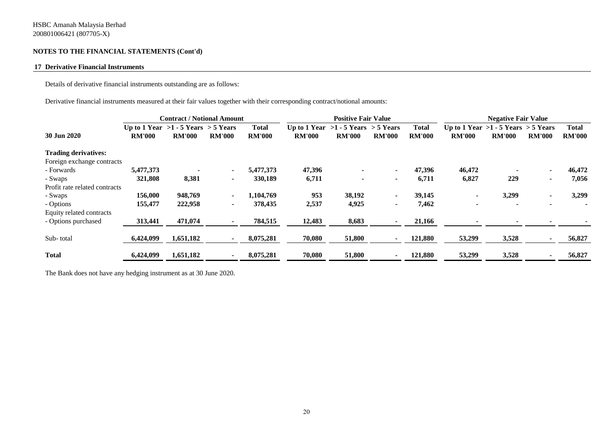### **17 Derivative Financial Instruments**

Details of derivative financial instruments outstanding are as follows:

Derivative financial instruments measured at their fair values together with their corresponding contract/notional amounts:

|                               | <b>Contract / Notional Amount</b>       |               |                | <b>Positive Fair Value</b> |               |                                         |                | <b>Negative Fair Value</b> |               |                                         |                          |               |
|-------------------------------|-----------------------------------------|---------------|----------------|----------------------------|---------------|-----------------------------------------|----------------|----------------------------|---------------|-----------------------------------------|--------------------------|---------------|
|                               | Up to 1 Year $>1 - 5$ Years $> 5$ Years |               |                | Total                      |               | Up to 1 Year $>1 - 5$ Years $> 5$ Years |                | <b>Total</b>               |               | Up to 1 Year $>1 - 5$ Years $> 5$ Years |                          | <b>Total</b>  |
| 30 Jun 2020                   | <b>RM'000</b>                           | <b>RM'000</b> | <b>RM'000</b>  | <b>RM'000</b>              | <b>RM'000</b> | <b>RM'000</b>                           | <b>RM'000</b>  | <b>RM'000</b>              | <b>RM'000</b> | <b>RM'000</b>                           | <b>RM'000</b>            | <b>RM'000</b> |
| <b>Trading derivatives:</b>   |                                         |               |                |                            |               |                                         |                |                            |               |                                         |                          |               |
| Foreign exchange contracts    |                                         |               |                |                            |               |                                         |                |                            |               |                                         |                          |               |
| - Forwards                    | 5,477,373                               |               |                | 5,477,373                  | 47,396        |                                         | $\blacksquare$ | 47,396                     | 46,472        |                                         | $\blacksquare$           | 46,472        |
| - Swaps                       | 321,808                                 | 8,381         | $\sim$         | 330,189                    | 6,711         |                                         | $\blacksquare$ | 6,711                      | 6,827         | 229                                     | $\blacksquare$           | 7,056         |
| Profit rate related contracts |                                         |               |                |                            |               |                                         |                |                            |               |                                         |                          |               |
| - Swaps                       | 156,000                                 | 948,769       | $\blacksquare$ | 1,104,769                  | 953           | 38,192                                  | $\blacksquare$ | 39,145                     |               | 3,299                                   | $\blacksquare$           | 3,299         |
| - Options                     | 155,477                                 | 222,958       | $\blacksquare$ | 378,435                    | 2,537         | 4,925                                   | $\blacksquare$ | 7,462                      |               |                                         | $\overline{\phantom{0}}$ |               |
| Equity related contracts      |                                         |               |                |                            |               |                                         |                |                            |               |                                         |                          |               |
| - Options purchased           | 313,441                                 | 471,074       |                | 784,515                    | 12,483        | 8,683                                   | ۰              | 21,166                     |               |                                         |                          |               |
| Sub-total                     | 6,424,099                               | 1,651,182     |                | 8,075,281                  | 70,080        | 51,800                                  |                | 121,880                    | 53,299        | 3,528                                   |                          | 56,827        |
| <b>Total</b>                  | 6,424,099                               | 1,651,182     |                | 8,075,281                  | 70,080        | 51,800                                  | $\blacksquare$ | 121,880                    | 53,299        | 3,528                                   |                          | 56,827        |

The Bank does not have any hedging instrument as at 30 June 2020.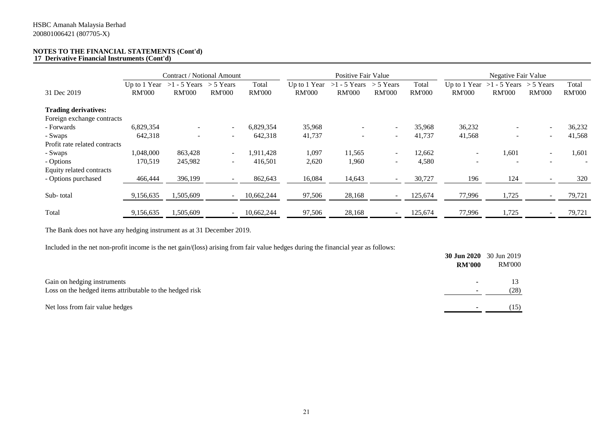#### **NOTES TO THE FINANCIAL STATEMENTS (Cont'd) 17 Derivative Financial Instruments (Cont'd)**

|                               | Contract / Notional Amount |                                                         |                          | Positive Fair Value    |               |                                              |                              | Negative Fair Value    |               |                                              |                              |                        |
|-------------------------------|----------------------------|---------------------------------------------------------|--------------------------|------------------------|---------------|----------------------------------------------|------------------------------|------------------------|---------------|----------------------------------------------|------------------------------|------------------------|
| 31 Dec 2019                   | <b>RM'000</b>              | Up to 1 Year $>1 - 5$ Years $>5$ Years<br><b>RM'000</b> | <b>RM'000</b>            | Total<br><b>RM'000</b> | <b>RM'000</b> | Up to 1 Year $>1 - 5$ Years<br><b>RM'000</b> | $>$ 5 Years<br><b>RM'000</b> | Total<br><b>RM'000</b> | <b>RM'000</b> | Up to 1 Year $>1 - 5$ Years<br><b>RM'000</b> | $>$ 5 Years<br><b>RM'000</b> | Total<br><b>RM'000</b> |
| <b>Trading derivatives:</b>   |                            |                                                         |                          |                        |               |                                              |                              |                        |               |                                              |                              |                        |
| Foreign exchange contracts    |                            |                                                         |                          |                        |               |                                              |                              |                        |               |                                              |                              |                        |
| - Forwards                    | 6,829,354                  |                                                         |                          | 6,829,354              | 35,968        |                                              | $\overline{\phantom{a}}$     | 35,968                 | 36,232        |                                              |                              | 36,232                 |
| - Swaps                       | 642,318                    | $\sim$                                                  | $\overline{\phantom{a}}$ | 642,318                | 41,737        | $\overline{\phantom{a}}$                     | $\sim$                       | 41,737                 | 41,568        | $\overline{\phantom{0}}$                     | $\overline{\phantom{a}}$     | 41,568                 |
| Profit rate related contracts |                            |                                                         |                          |                        |               |                                              |                              |                        |               |                                              |                              |                        |
| - Swaps                       | 1,048,000                  | 863,428                                                 | $\overline{\phantom{a}}$ | 1,911,428              | 1,097         | 11,565                                       | $\overline{\phantom{a}}$     | 12,662                 | ۰             | 1,601                                        | ۰                            | 1,601                  |
| - Options                     | 170,519                    | 245,982                                                 | $\overline{\phantom{a}}$ | 416,501                | 2,620         | 1,960                                        | $\overline{\phantom{a}}$     | 4,580                  |               | -                                            |                              |                        |
| Equity related contracts      |                            |                                                         |                          |                        |               |                                              |                              |                        |               |                                              |                              |                        |
| - Options purchased           | 466,444                    | 396,199                                                 |                          | 862,643                | 16,084        | 14,643                                       | $\overline{\phantom{a}}$     | 30,727                 | 196           | 124                                          |                              | 320                    |
| Sub-total                     | 9,156,635                  | 1,505,609                                               |                          | 10,662,244             | 97,506        | 28,168                                       | $\overline{\phantom{0}}$     | 125,674                | 77,996        | 1,725                                        |                              | 79,721                 |
|                               |                            |                                                         |                          |                        |               |                                              |                              |                        |               |                                              |                              |                        |
| Total                         | 9,156,635                  | 1,505,609                                               |                          | 10,662,244             | 97,506        | 28,168                                       | $\overline{\phantom{a}}$     | 125,674                | 77,996        | 1,725                                        |                              | 79,721                 |

The Bank does not have any hedging instrument as at 31 December 2019.

Included in the net non-profit income is the net gain/(loss) arising from fair value hedges during the financial year as follows:

|                                                                                         | <b>RM'000</b>            | <b>30 Jun 2020</b> 30 Jun 2019<br>RM'000 |
|-----------------------------------------------------------------------------------------|--------------------------|------------------------------------------|
| Gain on hedging instruments<br>Loss on the hedged items attributable to the hedged risk | $\overline{\phantom{a}}$ | (28)                                     |
| Net loss from fair value hedges                                                         |                          | (15)                                     |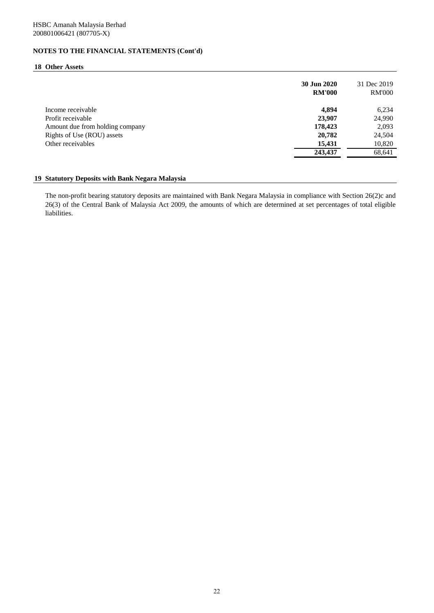# **18 Other Assets**

|                                 | 30 Jun 2020<br><b>RM'000</b> | 31 Dec 2019<br><b>RM'000</b> |
|---------------------------------|------------------------------|------------------------------|
| Income receivable               | 4,894                        | 6,234                        |
| Profit receivable               | 23,907                       | 24,990                       |
| Amount due from holding company | 178,423                      | 2,093                        |
| Rights of Use (ROU) assets      | 20,782                       | 24,504                       |
| Other receivables               | 15,431                       | 10,820                       |
|                                 | 243,437                      | 68,641                       |
|                                 |                              |                              |

## **19 Statutory Deposits with Bank Negara Malaysia**

The non-profit bearing statutory deposits are maintained with Bank Negara Malaysia in compliance with Section 26(2)c and 26(3) of the Central Bank of Malaysia Act 2009, the amounts of which are determined at set percentages of total eligible liabilities.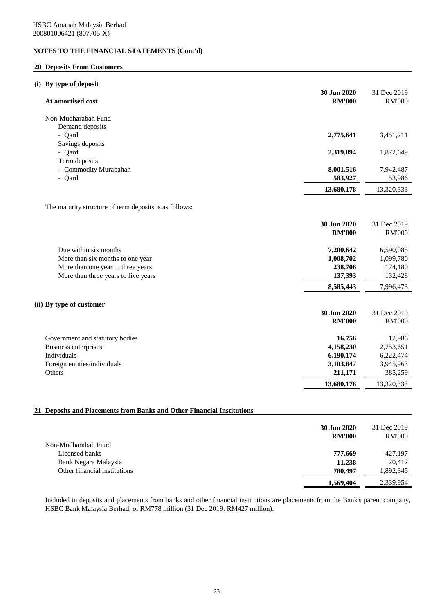## **20 Deposits From Customers**

|  | (i) By type of deposit |  |  |
|--|------------------------|--|--|
|  |                        |  |  |

| At amortised cost                                      | 30 Jun 2020<br><b>RM'000</b> | 31 Dec 2019<br><b>RM'000</b> |
|--------------------------------------------------------|------------------------------|------------------------------|
| Non-Mudharabah Fund                                    |                              |                              |
| Demand deposits                                        |                              |                              |
| - Qard                                                 | 2,775,641                    | 3,451,211                    |
| Savings deposits                                       |                              |                              |
| - Qard                                                 | 2,319,094                    | 1,872,649                    |
| Term deposits                                          |                              |                              |
| - Commodity Murabahah                                  | 8,001,516                    | 7,942,487                    |
| - Qard                                                 | 583,927                      | 53,986                       |
|                                                        | 13,680,178                   | 13,320,333                   |
| The maturity structure of term deposits is as follows: |                              |                              |
|                                                        | 30 Jun 2020                  | 31 Dec 2019                  |
|                                                        | <b>RM'000</b>                | <b>RM'000</b>                |
| Due within six months                                  | 7,200,642                    | 6,590,085                    |
| More than six months to one year                       | 1,008,702                    | 1,099,780                    |
| More than one year to three years                      | 238,706                      | 174,180                      |
| More than three years to five years                    | 137,393                      | 132,428                      |
|                                                        | 8,585,443                    | 7,996,473                    |
| (ii) By type of customer                               |                              |                              |
|                                                        | 30 Jun 2020                  | 31 Dec 2019                  |
|                                                        | <b>RM'000</b>                | <b>RM'000</b>                |
|                                                        |                              |                              |
| Government and statutory bodies                        | 16,756                       | 12,986                       |
| <b>Business enterprises</b>                            | 4,158,230                    | 2,753,651                    |
| Individuals                                            | 6,190,174                    | 6,222,474                    |
| Foreign entities/individuals                           | 3,103,847                    | 3,945,963                    |
| Others                                                 | 211,171                      | 385,259                      |
|                                                        | 13,680,178                   | 13,320,333                   |
|                                                        |                              |                              |

## **21 Deposits and Placements from Banks and Other Financial Institutions**

|                              | 30 Jun 2020<br><b>RM'000</b> | 31 Dec 2019<br><b>RM'000</b> |
|------------------------------|------------------------------|------------------------------|
| Non-Mudharabah Fund          |                              |                              |
| Licensed banks               | 777,669                      | 427,197                      |
| Bank Negara Malaysia         | 11,238                       | 20.412                       |
| Other financial institutions | 780.497                      | 1,892,345                    |
|                              | 1,569,404                    | 2,339,954                    |

Included in deposits and placements from banks and other financial institutions are placements from the Bank's parent company, HSBC Bank Malaysia Berhad, of RM778 million (31 Dec 2019: RM427 million).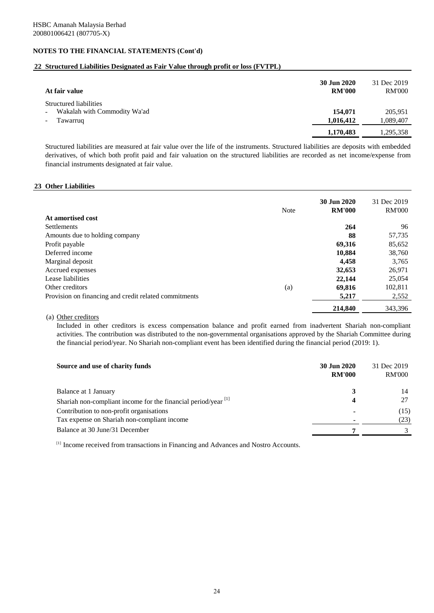# **22 Structured Liabilities Designated as Fair Value through profit or loss (FVTPL)**

| At fair value                                                      | 30 Jun 2020<br><b>RM'000</b> | 31 Dec 2019<br><b>RM'000</b> |
|--------------------------------------------------------------------|------------------------------|------------------------------|
| Structured liabilities<br>Wakalah with Commodity Wa'ad<br>Tawarruq | 154,071<br>1,016,412         | 205,951<br>1,089,407         |
|                                                                    | 1,170,483                    | 1,295,358                    |

Structured liabilities are measured at fair value over the life of the instruments. Structured liabilities are deposits with embedded derivatives, of which both profit paid and fair valuation on the structured liabilities are recorded as net income/expense from financial instruments designated at fair value.

### **23 Other Liabilities**

|                                                       | Note | 30 Jun 2020<br><b>RM'000</b> | 31 Dec 2019<br><b>RM'000</b> |
|-------------------------------------------------------|------|------------------------------|------------------------------|
| At amortised cost                                     |      |                              |                              |
| <b>Settlements</b>                                    |      | 264                          | 96                           |
| Amounts due to holding company                        |      | 88                           | 57,735                       |
| Profit payable                                        |      | 69,316                       | 85,652                       |
| Deferred income                                       |      | 10,884                       | 38,760                       |
| Marginal deposit                                      |      | 4.458                        | 3,765                        |
| Accrued expenses                                      |      | 32,653                       | 26,971                       |
| Lease liabilities                                     |      | 22,144                       | 25,054                       |
| Other creditors                                       | (a)  | 69,816                       | 102,811                      |
| Provision on financing and credit related commitments |      | 5,217                        | 2,552                        |
|                                                       |      | 214,840                      | 343.396                      |

# (a) Other creditors

Included in other creditors is excess compensation balance and profit earned from inadvertent Shariah non-compliant activities. The contribution was distributed to the non-governmental organisations approved by the Shariah Committee during the financial period/year. No Shariah non-compliant event has been identified during the financial period (2019: 1).

| Source and use of charity funds                                          | 30 Jun 2020<br><b>RM'000</b> | 31 Dec 2019<br><b>RM'000</b> |
|--------------------------------------------------------------------------|------------------------------|------------------------------|
| Balance at 1 January                                                     |                              | 14                           |
| Shariah non-compliant income for the financial period/year $\frac{1}{1}$ | 4                            |                              |
| Contribution to non-profit organisations                                 |                              | (15)                         |
| Tax expense on Shariah non-compliant income                              |                              | (23)                         |
| Balance at 30 June/31 December                                           |                              |                              |

[1] Income received from transactions in Financing and Advances and Nostro Accounts.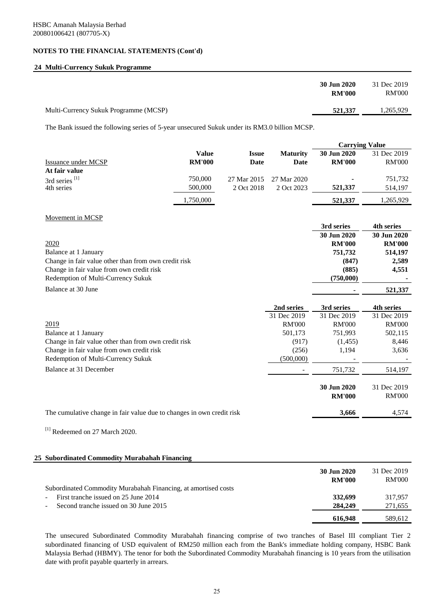# **24 Multi-Currency Sukuk Programme**

| 30 Jun 2020                                      | 31 Dec 2019 |
|--------------------------------------------------|-------------|
| <b>RM'000</b>                                    | RM'000      |
| Multi-Currency Sukuk Programme (MCSP)<br>521,337 | 1,265,929   |

The Bank issued the following series of 5-year unsecured Sukuk under its RM3.0 billion MCSP.

|                                                                                                        |               |              |                 | <b>Carrying Value</b> |               |
|--------------------------------------------------------------------------------------------------------|---------------|--------------|-----------------|-----------------------|---------------|
|                                                                                                        | <b>Value</b>  | <b>Issue</b> | <b>Maturity</b> | 30 Jun 2020           | 31 Dec 2019   |
| <b>Issuance under MCSP</b>                                                                             | <b>RM'000</b> | Date         | Date            | <b>RM'000</b>         | <b>RM'000</b> |
| At fair value                                                                                          |               |              |                 |                       |               |
| 3rd series <sup>[1]</sup>                                                                              | 750,000       | 27 Mar 2015  | 27 Mar 2020     |                       | 751,732       |
| 4th series                                                                                             | 500,000       | 2 Oct 2018   | 2 Oct 2023      | 521,337               | 514,197       |
|                                                                                                        | 1,750,000     |              |                 | 521,337               | 1,265,929     |
| Movement in MCSP                                                                                       |               |              |                 |                       |               |
|                                                                                                        |               |              |                 | 3rd series            | 4th series    |
|                                                                                                        |               |              |                 | 30 Jun 2020           | 30 Jun 2020   |
| 2020                                                                                                   |               |              |                 | <b>RM'000</b>         | <b>RM'000</b> |
| Balance at 1 January                                                                                   |               |              |                 | 751,732               | 514,197       |
| Change in fair value other than from own credit risk                                                   |               |              |                 | (847)                 | 2,589         |
| Change in fair value from own credit risk                                                              |               |              |                 | (885)                 | 4,551         |
| Redemption of Multi-Currency Sukuk                                                                     |               |              |                 | (750,000)             |               |
| Balance at 30 June                                                                                     |               |              |                 |                       | 521,337       |
|                                                                                                        |               |              | 2nd series      | 3rd series            | 4th series    |
|                                                                                                        |               |              | 31 Dec 2019     | 31 Dec 2019           | 31 Dec 2019   |
| 2019                                                                                                   |               |              | <b>RM'000</b>   | <b>RM'000</b>         | <b>RM'000</b> |
| Balance at 1 January                                                                                   |               |              | 501,173         | 751,993               | 502,115       |
| Change in fair value other than from own credit risk                                                   |               |              | (917)           | (1,455)               | 8,446         |
| Change in fair value from own credit risk                                                              |               |              | (256)           | 1,194                 | 3,636         |
| Redemption of Multi-Currency Sukuk                                                                     |               |              | (500,000)       |                       |               |
| Balance at 31 December                                                                                 |               |              |                 | 751,732               | 514,197       |
|                                                                                                        |               |              |                 | 30 Jun 2020           | 31 Dec 2019   |
|                                                                                                        |               |              |                 | <b>RM'000</b>         | <b>RM'000</b> |
| The cumulative change in fair value due to changes in own credit risk                                  |               |              |                 | 3,666                 | 4,574         |
| $^{[1]}$ Redeemed on 27 March 2020.                                                                    |               |              |                 |                       |               |
|                                                                                                        |               |              |                 |                       |               |
| 25 Subordinated Commodity Murabahah Financing                                                          |               |              |                 |                       |               |
|                                                                                                        |               |              |                 | 30 Jun 2020           | 31 Dec 2019   |
|                                                                                                        |               |              |                 | <b>RM'000</b>         | <b>RM'000</b> |
| Subordinated Commodity Murabahah Financing, at amortised costs<br>First tranche issued on 25 June 2014 |               |              |                 |                       |               |
| Second tranche issued on 30 June 2015                                                                  |               |              |                 | 332,699               | 317,957       |
|                                                                                                        |               |              |                 | 284,249               | 271,655       |
|                                                                                                        |               |              |                 | 616,948               | 589,612       |

The unsecured Subordinated Commodity Murabahah financing comprise of two tranches of Basel III compliant Tier 2 subordinated financing of USD equivalent of RM250 million each from the Bank's immediate holding company, HSBC Bank Malaysia Berhad (HBMY). The tenor for both the Subordinated Commodity Murabahah financing is 10 years from the utilisation date with profit payable quarterly in arrears.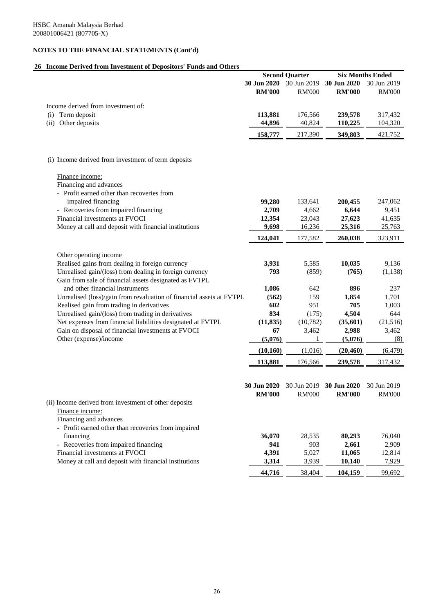# **26 Income Derived from Investment of Depositors' Funds and Others**

| 30 Jun 2020<br>30 Jun 2019<br>30 Jun 2020<br><b>RM'000</b><br><b>RM'000</b><br><b>RM'000</b><br>Income derived from investment of:<br>Term deposit<br>113,881<br>176,566<br>239,578<br>(i)<br>Other deposits<br>40,824<br>(ii)<br>44,896<br>110,225<br>349,803<br>421,752<br>158,777<br>217,390<br>(i) Income derived from investment of term deposits<br>Finance income:<br>Financing and advances<br>- Profit earned other than recoveries from<br>impaired financing<br>99,280<br>133,641<br>200,455<br>- Recoveries from impaired financing<br>2,709<br>4,662<br>6,644<br>Financial investments at FVOCI<br>12,354<br>23,043<br>27,623<br>Money at call and deposit with financial institutions<br>16,236<br>9,698<br>25,316<br>124,041<br>177,582<br>260,038<br>Other operating income<br>Realised gains from dealing in foreign currency<br>5,585<br>3,931<br>10,035<br>9,136<br>Unrealised gain/(loss) from dealing in foreign currency<br>793<br>(859)<br>(765)<br>(1, 138)<br>Gain from sale of financial assets designated as FVTPL<br>and other financial instruments<br>1,086<br>896<br>642<br>Unrealised (loss)/gain from revaluation of financial assets at FVTPL<br>159<br>1,701<br>(562)<br>1,854<br>Realised gain from trading in derivatives<br>602<br>951<br>705<br>1,003<br>834<br>Unrealised gain/(loss) from trading in derivatives<br>(175)<br>4,504<br>Net expenses from financial liabilities designated at FVTPL<br>(11, 835)<br>(10, 782)<br>(21,516)<br>(35,601)<br>Gain on disposal of financial investments at FVOCI<br>3,462<br>3,462<br>67<br>2,988<br>Other (expense)/income<br>(5,076)<br>(5,076)<br>1<br>(10, 160)<br>(1,016)<br>(20, 460)<br>113,881<br>176,566<br>239,578<br>30 Jun 2020<br>30 Jun 2020<br>30 Jun 2019<br><b>RM'000</b><br><b>RM'000</b><br><b>RM'000</b><br>(ii) Income derived from investment of other deposits<br>Finance income:<br>Financing and advances<br>- Profit earned other than recoveries from impaired<br>financing<br>36,070<br>28,535<br>80,293<br>- Recoveries from impaired financing<br>941<br>903<br>2,661<br>Financial investments at FVOCI<br>4,391<br>5,027<br>11,065 |                                                       |       | <b>Second Quarter</b> |        | <b>Six Months Ended</b> |
|-----------------------------------------------------------------------------------------------------------------------------------------------------------------------------------------------------------------------------------------------------------------------------------------------------------------------------------------------------------------------------------------------------------------------------------------------------------------------------------------------------------------------------------------------------------------------------------------------------------------------------------------------------------------------------------------------------------------------------------------------------------------------------------------------------------------------------------------------------------------------------------------------------------------------------------------------------------------------------------------------------------------------------------------------------------------------------------------------------------------------------------------------------------------------------------------------------------------------------------------------------------------------------------------------------------------------------------------------------------------------------------------------------------------------------------------------------------------------------------------------------------------------------------------------------------------------------------------------------------------------------------------------------------------------------------------------------------------------------------------------------------------------------------------------------------------------------------------------------------------------------------------------------------------------------------------------------------------------------------------------------------------------------------------------------------------------------------------------------------------------------------------------------|-------------------------------------------------------|-------|-----------------------|--------|-------------------------|
|                                                                                                                                                                                                                                                                                                                                                                                                                                                                                                                                                                                                                                                                                                                                                                                                                                                                                                                                                                                                                                                                                                                                                                                                                                                                                                                                                                                                                                                                                                                                                                                                                                                                                                                                                                                                                                                                                                                                                                                                                                                                                                                                                     |                                                       |       |                       |        | 30 Jun 2019             |
|                                                                                                                                                                                                                                                                                                                                                                                                                                                                                                                                                                                                                                                                                                                                                                                                                                                                                                                                                                                                                                                                                                                                                                                                                                                                                                                                                                                                                                                                                                                                                                                                                                                                                                                                                                                                                                                                                                                                                                                                                                                                                                                                                     |                                                       |       |                       |        | <b>RM'000</b>           |
|                                                                                                                                                                                                                                                                                                                                                                                                                                                                                                                                                                                                                                                                                                                                                                                                                                                                                                                                                                                                                                                                                                                                                                                                                                                                                                                                                                                                                                                                                                                                                                                                                                                                                                                                                                                                                                                                                                                                                                                                                                                                                                                                                     |                                                       |       |                       |        |                         |
|                                                                                                                                                                                                                                                                                                                                                                                                                                                                                                                                                                                                                                                                                                                                                                                                                                                                                                                                                                                                                                                                                                                                                                                                                                                                                                                                                                                                                                                                                                                                                                                                                                                                                                                                                                                                                                                                                                                                                                                                                                                                                                                                                     |                                                       |       |                       |        | 317,432                 |
|                                                                                                                                                                                                                                                                                                                                                                                                                                                                                                                                                                                                                                                                                                                                                                                                                                                                                                                                                                                                                                                                                                                                                                                                                                                                                                                                                                                                                                                                                                                                                                                                                                                                                                                                                                                                                                                                                                                                                                                                                                                                                                                                                     |                                                       |       |                       |        | 104,320                 |
|                                                                                                                                                                                                                                                                                                                                                                                                                                                                                                                                                                                                                                                                                                                                                                                                                                                                                                                                                                                                                                                                                                                                                                                                                                                                                                                                                                                                                                                                                                                                                                                                                                                                                                                                                                                                                                                                                                                                                                                                                                                                                                                                                     |                                                       |       |                       |        |                         |
|                                                                                                                                                                                                                                                                                                                                                                                                                                                                                                                                                                                                                                                                                                                                                                                                                                                                                                                                                                                                                                                                                                                                                                                                                                                                                                                                                                                                                                                                                                                                                                                                                                                                                                                                                                                                                                                                                                                                                                                                                                                                                                                                                     |                                                       |       |                       |        |                         |
|                                                                                                                                                                                                                                                                                                                                                                                                                                                                                                                                                                                                                                                                                                                                                                                                                                                                                                                                                                                                                                                                                                                                                                                                                                                                                                                                                                                                                                                                                                                                                                                                                                                                                                                                                                                                                                                                                                                                                                                                                                                                                                                                                     |                                                       |       |                       |        |                         |
|                                                                                                                                                                                                                                                                                                                                                                                                                                                                                                                                                                                                                                                                                                                                                                                                                                                                                                                                                                                                                                                                                                                                                                                                                                                                                                                                                                                                                                                                                                                                                                                                                                                                                                                                                                                                                                                                                                                                                                                                                                                                                                                                                     |                                                       |       |                       |        |                         |
|                                                                                                                                                                                                                                                                                                                                                                                                                                                                                                                                                                                                                                                                                                                                                                                                                                                                                                                                                                                                                                                                                                                                                                                                                                                                                                                                                                                                                                                                                                                                                                                                                                                                                                                                                                                                                                                                                                                                                                                                                                                                                                                                                     |                                                       |       |                       |        |                         |
|                                                                                                                                                                                                                                                                                                                                                                                                                                                                                                                                                                                                                                                                                                                                                                                                                                                                                                                                                                                                                                                                                                                                                                                                                                                                                                                                                                                                                                                                                                                                                                                                                                                                                                                                                                                                                                                                                                                                                                                                                                                                                                                                                     |                                                       |       |                       |        |                         |
|                                                                                                                                                                                                                                                                                                                                                                                                                                                                                                                                                                                                                                                                                                                                                                                                                                                                                                                                                                                                                                                                                                                                                                                                                                                                                                                                                                                                                                                                                                                                                                                                                                                                                                                                                                                                                                                                                                                                                                                                                                                                                                                                                     |                                                       |       |                       |        |                         |
|                                                                                                                                                                                                                                                                                                                                                                                                                                                                                                                                                                                                                                                                                                                                                                                                                                                                                                                                                                                                                                                                                                                                                                                                                                                                                                                                                                                                                                                                                                                                                                                                                                                                                                                                                                                                                                                                                                                                                                                                                                                                                                                                                     |                                                       |       |                       |        | 247,062                 |
|                                                                                                                                                                                                                                                                                                                                                                                                                                                                                                                                                                                                                                                                                                                                                                                                                                                                                                                                                                                                                                                                                                                                                                                                                                                                                                                                                                                                                                                                                                                                                                                                                                                                                                                                                                                                                                                                                                                                                                                                                                                                                                                                                     |                                                       |       |                       |        | 9,451                   |
|                                                                                                                                                                                                                                                                                                                                                                                                                                                                                                                                                                                                                                                                                                                                                                                                                                                                                                                                                                                                                                                                                                                                                                                                                                                                                                                                                                                                                                                                                                                                                                                                                                                                                                                                                                                                                                                                                                                                                                                                                                                                                                                                                     |                                                       |       |                       |        | 41,635                  |
|                                                                                                                                                                                                                                                                                                                                                                                                                                                                                                                                                                                                                                                                                                                                                                                                                                                                                                                                                                                                                                                                                                                                                                                                                                                                                                                                                                                                                                                                                                                                                                                                                                                                                                                                                                                                                                                                                                                                                                                                                                                                                                                                                     |                                                       |       |                       |        | 25,763                  |
|                                                                                                                                                                                                                                                                                                                                                                                                                                                                                                                                                                                                                                                                                                                                                                                                                                                                                                                                                                                                                                                                                                                                                                                                                                                                                                                                                                                                                                                                                                                                                                                                                                                                                                                                                                                                                                                                                                                                                                                                                                                                                                                                                     |                                                       |       |                       |        | 323,911                 |
|                                                                                                                                                                                                                                                                                                                                                                                                                                                                                                                                                                                                                                                                                                                                                                                                                                                                                                                                                                                                                                                                                                                                                                                                                                                                                                                                                                                                                                                                                                                                                                                                                                                                                                                                                                                                                                                                                                                                                                                                                                                                                                                                                     |                                                       |       |                       |        |                         |
|                                                                                                                                                                                                                                                                                                                                                                                                                                                                                                                                                                                                                                                                                                                                                                                                                                                                                                                                                                                                                                                                                                                                                                                                                                                                                                                                                                                                                                                                                                                                                                                                                                                                                                                                                                                                                                                                                                                                                                                                                                                                                                                                                     |                                                       |       |                       |        |                         |
|                                                                                                                                                                                                                                                                                                                                                                                                                                                                                                                                                                                                                                                                                                                                                                                                                                                                                                                                                                                                                                                                                                                                                                                                                                                                                                                                                                                                                                                                                                                                                                                                                                                                                                                                                                                                                                                                                                                                                                                                                                                                                                                                                     |                                                       |       |                       |        |                         |
|                                                                                                                                                                                                                                                                                                                                                                                                                                                                                                                                                                                                                                                                                                                                                                                                                                                                                                                                                                                                                                                                                                                                                                                                                                                                                                                                                                                                                                                                                                                                                                                                                                                                                                                                                                                                                                                                                                                                                                                                                                                                                                                                                     |                                                       |       |                       |        |                         |
|                                                                                                                                                                                                                                                                                                                                                                                                                                                                                                                                                                                                                                                                                                                                                                                                                                                                                                                                                                                                                                                                                                                                                                                                                                                                                                                                                                                                                                                                                                                                                                                                                                                                                                                                                                                                                                                                                                                                                                                                                                                                                                                                                     |                                                       |       |                       |        |                         |
|                                                                                                                                                                                                                                                                                                                                                                                                                                                                                                                                                                                                                                                                                                                                                                                                                                                                                                                                                                                                                                                                                                                                                                                                                                                                                                                                                                                                                                                                                                                                                                                                                                                                                                                                                                                                                                                                                                                                                                                                                                                                                                                                                     |                                                       |       |                       |        | 237                     |
|                                                                                                                                                                                                                                                                                                                                                                                                                                                                                                                                                                                                                                                                                                                                                                                                                                                                                                                                                                                                                                                                                                                                                                                                                                                                                                                                                                                                                                                                                                                                                                                                                                                                                                                                                                                                                                                                                                                                                                                                                                                                                                                                                     |                                                       |       |                       |        |                         |
|                                                                                                                                                                                                                                                                                                                                                                                                                                                                                                                                                                                                                                                                                                                                                                                                                                                                                                                                                                                                                                                                                                                                                                                                                                                                                                                                                                                                                                                                                                                                                                                                                                                                                                                                                                                                                                                                                                                                                                                                                                                                                                                                                     |                                                       |       |                       |        |                         |
|                                                                                                                                                                                                                                                                                                                                                                                                                                                                                                                                                                                                                                                                                                                                                                                                                                                                                                                                                                                                                                                                                                                                                                                                                                                                                                                                                                                                                                                                                                                                                                                                                                                                                                                                                                                                                                                                                                                                                                                                                                                                                                                                                     |                                                       |       |                       |        | 644                     |
|                                                                                                                                                                                                                                                                                                                                                                                                                                                                                                                                                                                                                                                                                                                                                                                                                                                                                                                                                                                                                                                                                                                                                                                                                                                                                                                                                                                                                                                                                                                                                                                                                                                                                                                                                                                                                                                                                                                                                                                                                                                                                                                                                     |                                                       |       |                       |        |                         |
|                                                                                                                                                                                                                                                                                                                                                                                                                                                                                                                                                                                                                                                                                                                                                                                                                                                                                                                                                                                                                                                                                                                                                                                                                                                                                                                                                                                                                                                                                                                                                                                                                                                                                                                                                                                                                                                                                                                                                                                                                                                                                                                                                     |                                                       |       |                       |        |                         |
|                                                                                                                                                                                                                                                                                                                                                                                                                                                                                                                                                                                                                                                                                                                                                                                                                                                                                                                                                                                                                                                                                                                                                                                                                                                                                                                                                                                                                                                                                                                                                                                                                                                                                                                                                                                                                                                                                                                                                                                                                                                                                                                                                     |                                                       |       |                       |        | (8)                     |
|                                                                                                                                                                                                                                                                                                                                                                                                                                                                                                                                                                                                                                                                                                                                                                                                                                                                                                                                                                                                                                                                                                                                                                                                                                                                                                                                                                                                                                                                                                                                                                                                                                                                                                                                                                                                                                                                                                                                                                                                                                                                                                                                                     |                                                       |       |                       |        | (6, 479)                |
|                                                                                                                                                                                                                                                                                                                                                                                                                                                                                                                                                                                                                                                                                                                                                                                                                                                                                                                                                                                                                                                                                                                                                                                                                                                                                                                                                                                                                                                                                                                                                                                                                                                                                                                                                                                                                                                                                                                                                                                                                                                                                                                                                     |                                                       |       |                       |        | 317,432                 |
|                                                                                                                                                                                                                                                                                                                                                                                                                                                                                                                                                                                                                                                                                                                                                                                                                                                                                                                                                                                                                                                                                                                                                                                                                                                                                                                                                                                                                                                                                                                                                                                                                                                                                                                                                                                                                                                                                                                                                                                                                                                                                                                                                     |                                                       |       |                       |        |                         |
|                                                                                                                                                                                                                                                                                                                                                                                                                                                                                                                                                                                                                                                                                                                                                                                                                                                                                                                                                                                                                                                                                                                                                                                                                                                                                                                                                                                                                                                                                                                                                                                                                                                                                                                                                                                                                                                                                                                                                                                                                                                                                                                                                     |                                                       |       |                       |        | 30 Jun 2019             |
|                                                                                                                                                                                                                                                                                                                                                                                                                                                                                                                                                                                                                                                                                                                                                                                                                                                                                                                                                                                                                                                                                                                                                                                                                                                                                                                                                                                                                                                                                                                                                                                                                                                                                                                                                                                                                                                                                                                                                                                                                                                                                                                                                     |                                                       |       |                       |        | <b>RM'000</b>           |
|                                                                                                                                                                                                                                                                                                                                                                                                                                                                                                                                                                                                                                                                                                                                                                                                                                                                                                                                                                                                                                                                                                                                                                                                                                                                                                                                                                                                                                                                                                                                                                                                                                                                                                                                                                                                                                                                                                                                                                                                                                                                                                                                                     |                                                       |       |                       |        |                         |
|                                                                                                                                                                                                                                                                                                                                                                                                                                                                                                                                                                                                                                                                                                                                                                                                                                                                                                                                                                                                                                                                                                                                                                                                                                                                                                                                                                                                                                                                                                                                                                                                                                                                                                                                                                                                                                                                                                                                                                                                                                                                                                                                                     |                                                       |       |                       |        |                         |
|                                                                                                                                                                                                                                                                                                                                                                                                                                                                                                                                                                                                                                                                                                                                                                                                                                                                                                                                                                                                                                                                                                                                                                                                                                                                                                                                                                                                                                                                                                                                                                                                                                                                                                                                                                                                                                                                                                                                                                                                                                                                                                                                                     |                                                       |       |                       |        |                         |
|                                                                                                                                                                                                                                                                                                                                                                                                                                                                                                                                                                                                                                                                                                                                                                                                                                                                                                                                                                                                                                                                                                                                                                                                                                                                                                                                                                                                                                                                                                                                                                                                                                                                                                                                                                                                                                                                                                                                                                                                                                                                                                                                                     |                                                       |       |                       |        |                         |
|                                                                                                                                                                                                                                                                                                                                                                                                                                                                                                                                                                                                                                                                                                                                                                                                                                                                                                                                                                                                                                                                                                                                                                                                                                                                                                                                                                                                                                                                                                                                                                                                                                                                                                                                                                                                                                                                                                                                                                                                                                                                                                                                                     |                                                       |       |                       |        | 76,040                  |
|                                                                                                                                                                                                                                                                                                                                                                                                                                                                                                                                                                                                                                                                                                                                                                                                                                                                                                                                                                                                                                                                                                                                                                                                                                                                                                                                                                                                                                                                                                                                                                                                                                                                                                                                                                                                                                                                                                                                                                                                                                                                                                                                                     |                                                       |       |                       |        | 2,909                   |
|                                                                                                                                                                                                                                                                                                                                                                                                                                                                                                                                                                                                                                                                                                                                                                                                                                                                                                                                                                                                                                                                                                                                                                                                                                                                                                                                                                                                                                                                                                                                                                                                                                                                                                                                                                                                                                                                                                                                                                                                                                                                                                                                                     |                                                       |       |                       |        | 12,814                  |
|                                                                                                                                                                                                                                                                                                                                                                                                                                                                                                                                                                                                                                                                                                                                                                                                                                                                                                                                                                                                                                                                                                                                                                                                                                                                                                                                                                                                                                                                                                                                                                                                                                                                                                                                                                                                                                                                                                                                                                                                                                                                                                                                                     | Money at call and deposit with financial institutions | 3,314 | 3,939                 | 10,140 | 7,929                   |
| 44,716<br>38,404<br>104,159                                                                                                                                                                                                                                                                                                                                                                                                                                                                                                                                                                                                                                                                                                                                                                                                                                                                                                                                                                                                                                                                                                                                                                                                                                                                                                                                                                                                                                                                                                                                                                                                                                                                                                                                                                                                                                                                                                                                                                                                                                                                                                                         |                                                       |       |                       |        | 99,692                  |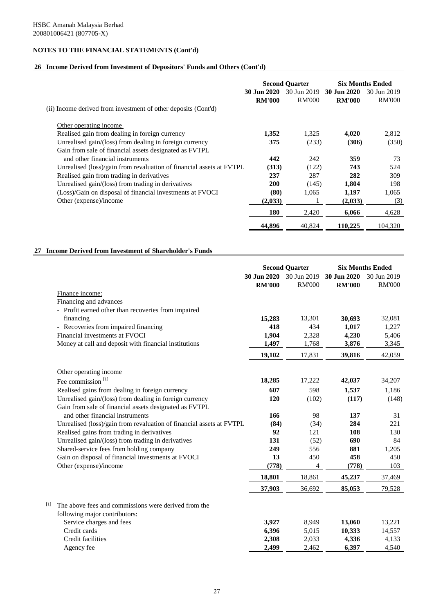## **26 Income Derived from Investment of Depositors' Funds and Others (Cont'd)**

|                                                                      | <b>Second Quarter</b>        |                              | <b>Six Months Ended</b>      |                              |
|----------------------------------------------------------------------|------------------------------|------------------------------|------------------------------|------------------------------|
|                                                                      | 30 Jun 2020<br><b>RM'000</b> | 30 Jun 2019<br><b>RM'000</b> | 30 Jun 2020<br><b>RM'000</b> | 30 Jun 2019<br><b>RM'000</b> |
| (ii) Income derived from investment of other deposits (Cont'd)       |                              |                              |                              |                              |
| Other operating income.                                              |                              |                              |                              |                              |
| Realised gain from dealing in foreign currency                       | 1,352                        | 1,325                        | 4,020                        | 2,812                        |
| Unrealised gain/(loss) from dealing in foreign currency              | 375                          | (233)                        | (306)                        | (350)                        |
| Gain from sale of financial assets designated as FVTPL               |                              |                              |                              |                              |
| and other financial instruments                                      | 442                          | 242                          | 359                          | 73                           |
| Unrealised (loss)/gain from revaluation of financial assets at FVTPL | (313)                        | (122)                        | 743                          | 524                          |
| Realised gain from trading in derivatives                            | 237                          | 287                          | 282                          | 309                          |
| Unrealised gain/(loss) from trading in derivatives                   | 200                          | (145)                        | 1,804                        | 198                          |
| (Loss)/Gain on disposal of financial investments at FVOCI            | (80)                         | 1,065                        | 1,197                        | 1,065                        |
| Other (expense)/income                                               | (2,033)                      |                              | (2,033)                      | (3)                          |
|                                                                      | 180                          | 2,420                        | 6,066                        | 4,628                        |
|                                                                      | 44,896                       | 40.824                       | 110,225                      | 104.320                      |

## **27 Income Derived from Investment of Shareholder's Funds**

|                                                                      | <b>Second Quarter</b>        |                              | <b>Six Months Ended</b>      |                              |
|----------------------------------------------------------------------|------------------------------|------------------------------|------------------------------|------------------------------|
|                                                                      | 30 Jun 2020<br><b>RM'000</b> | 30 Jun 2019<br><b>RM'000</b> | 30 Jun 2020<br><b>RM'000</b> | 30 Jun 2019<br><b>RM'000</b> |
| Finance income:                                                      |                              |                              |                              |                              |
| Financing and advances                                               |                              |                              |                              |                              |
| - Profit earned other than recoveries from impaired                  |                              |                              |                              |                              |
| financing                                                            | 15,283                       | 13,301                       | 30,693                       | 32,081                       |
| - Recoveries from impaired financing                                 | 418                          | 434                          | 1,017                        | 1,227                        |
| Financial investments at FVOCI                                       | 1,904                        | 2,328                        | 4,230                        | 5,406                        |
| Money at call and deposit with financial institutions                | 1,497                        | 1,768                        | 3,876                        | 3,345                        |
|                                                                      | 19,102                       | 17,831                       | 39,816                       | 42,059                       |
| Other operating income                                               |                              |                              |                              |                              |
| Fee commission <sup>[1]</sup>                                        | 18,285                       | 17,222                       | 42,037                       | 34,207                       |
| Realised gains from dealing in foreign currency                      | 607                          | 598                          | 1,537                        | 1,186                        |
| Unrealised gain/(loss) from dealing in foreign currency              | 120                          | (102)                        | (117)                        | (148)                        |
| Gain from sale of financial assets designated as FVTPL               |                              |                              |                              |                              |
| and other financial instruments                                      | 166                          | 98                           | 137                          | 31                           |
| Unrealised (loss)/gain from revaluation of financial assets at FVTPL | (84)                         | (34)                         | 284                          | 221                          |
| Realised gains from trading in derivatives                           | 92                           | 121                          | 108                          | 130                          |
| Unrealised gain/(loss) from trading in derivatives                   | 131                          | (52)                         | 690                          | 84                           |
| Shared-service fees from holding company                             | 249                          | 556                          | 881                          | 1,205                        |
| Gain on disposal of financial investments at FVOCI                   | 13                           | 450                          | 458                          | 450                          |
| Other (expense)/income                                               | (778)                        | 4                            | (778)                        | 103                          |
|                                                                      | 18,801                       | 18,861                       | 45,237                       | 37,469                       |
|                                                                      | 37,903                       | 36,692                       | 85,053                       | 79,528                       |
| $[1]$<br>The above fees and commissions were derived from the        |                              |                              |                              |                              |
| following major contributors:                                        |                              |                              |                              |                              |
| Service charges and fees                                             | 3,927                        | 8,949                        | 13,060                       | 13,221                       |
| Credit cards                                                         | 6,396                        | 5,015                        | 10,333                       | 14,557                       |
| Credit facilities                                                    | 2,308                        | 2,033                        | 4,336                        | 4,133                        |
| Agency fee                                                           | 2,499                        | 2,462                        | 6,397                        | 4,540                        |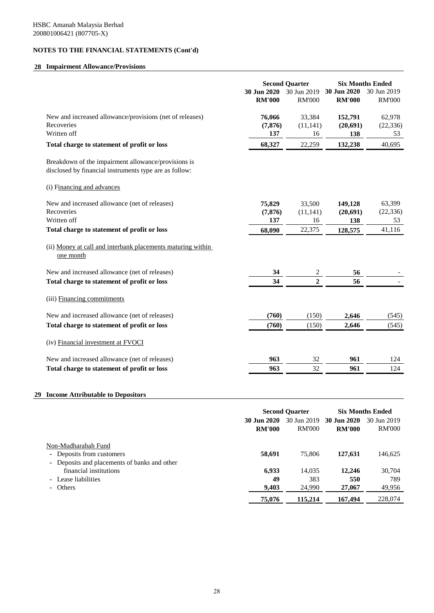# **28 Impairment Allowance/Provisions**

|                                                                                                               | 30 Jun 2020<br><b>RM'000</b> | <b>Second Quarter</b><br>30 Jun 2019<br><b>RM'000</b> | 30 Jun 2020<br><b>RM'000</b> | <b>Six Months Ended</b><br>30 Jun 2019<br><b>RM'000</b> |
|---------------------------------------------------------------------------------------------------------------|------------------------------|-------------------------------------------------------|------------------------------|---------------------------------------------------------|
| New and increased allowance/provisions (net of releases)<br>Recoveries<br>Written off                         | 76,066<br>(7, 876)<br>137    | 33,384<br>(11, 141)<br>16                             | 152,791<br>(20, 691)<br>138  | 62,978<br>(22, 336)<br>53                               |
| Total charge to statement of profit or loss                                                                   | 68,327                       | 22,259                                                | 132,238                      | 40,695                                                  |
| Breakdown of the impairment allowance/provisions is<br>disclosed by financial instruments type are as follow: |                              |                                                       |                              |                                                         |
| (i) Financing and advances                                                                                    |                              |                                                       |                              |                                                         |
| New and increased allowance (net of releases)<br>Recoveries<br>Written off                                    | 75,829<br>(7, 876)<br>137    | 33,500<br>(11, 141)<br>16                             | 149,128<br>(20, 691)         | 63,399<br>(22, 336)<br>53                               |
| Total charge to statement of profit or loss                                                                   | 68,090                       | 22,375                                                | 138<br>128,575               | 41,116                                                  |
| (ii) Money at call and interbank placements maturing within<br>one month                                      |                              |                                                       |                              |                                                         |
| New and increased allowance (net of releases)                                                                 | 34                           | $\overline{c}$                                        | 56                           |                                                         |
| Total charge to statement of profit or loss                                                                   | 34                           | $\mathbf{2}$                                          | 56                           |                                                         |
| (iii) Financing commitments                                                                                   |                              |                                                       |                              |                                                         |
| New and increased allowance (net of releases)                                                                 | (760)                        | (150)                                                 | 2,646                        | (545)                                                   |
| Total charge to statement of profit or loss                                                                   | (760)                        | (150)                                                 | 2,646                        | (545)                                                   |
| (iv) Financial investment at FVOCI                                                                            |                              |                                                       |                              |                                                         |
| New and increased allowance (net of releases)                                                                 | 963                          | 32                                                    | 961                          | 124                                                     |
| Total charge to statement of profit or loss                                                                   | 963                          | 32                                                    | 961                          | 124                                                     |

# **29 Income Attributable to Depositors**

|                                              |               | <b>Second Quarter</b> |                         | <b>Six Months Ended</b> |  |
|----------------------------------------------|---------------|-----------------------|-------------------------|-------------------------|--|
|                                              | 30 Jun 2020   |                       | 30 Jun 2019 30 Jun 2020 | 30 Jun 2019             |  |
|                                              | <b>RM'000</b> | <b>RM'000</b>         | <b>RM'000</b>           | <b>RM'000</b>           |  |
| Non-Mudharabah Fund                          |               |                       |                         |                         |  |
| Deposits from customers<br>٠                 | 58,691        | 75,806                | 127,631                 | 146,625                 |  |
| - Deposits and placements of banks and other |               |                       |                         |                         |  |
| financial institutions                       | 6,933         | 14,035                | 12,246                  | 30,704                  |  |
| - Lease liabilities                          | 49            | 383                   | 550                     | 789                     |  |
| - Others                                     | 9,403         | 24,990                | 27,067                  | 49,956                  |  |
|                                              | 75,076        | 115,214               | 167,494                 | 228,074                 |  |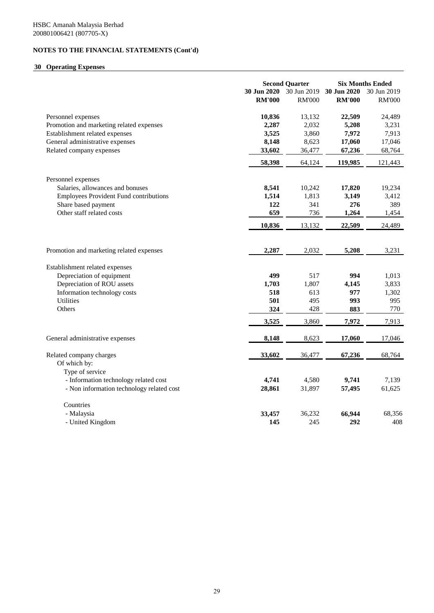# **30 Operating Expenses**

|                                               | <b>Second Quarter</b> |               | <b>Six Months Ended</b> |               |
|-----------------------------------------------|-----------------------|---------------|-------------------------|---------------|
|                                               | 30 Jun 2020           | 30 Jun 2019   | 30 Jun 2020             | 30 Jun 2019   |
|                                               | <b>RM'000</b>         | <b>RM'000</b> | <b>RM'000</b>           | <b>RM'000</b> |
| Personnel expenses                            | 10,836                | 13,132        | 22,509                  | 24,489        |
| Promotion and marketing related expenses      | 2,287                 | 2,032         | 5,208                   | 3,231         |
| Establishment related expenses                | 3,525                 | 3,860         | 7,972                   | 7,913         |
| General administrative expenses               | 8,148                 | 8,623         | 17,060                  | 17,046        |
| Related company expenses                      | 33,602                | 36,477        | 67,236                  | 68,764        |
|                                               | 58,398                | 64,124        | 119,985                 | 121,443       |
| Personnel expenses                            |                       |               |                         |               |
| Salaries, allowances and bonuses              | 8,541                 | 10,242        | 17,820                  | 19,234        |
| <b>Employees Provident Fund contributions</b> | 1,514                 | 1,813         | 3,149                   | 3,412         |
| Share based payment                           | 122                   | 341           | 276                     | 389           |
| Other staff related costs                     | 659                   | 736           | 1,264                   | 1,454         |
|                                               | 10,836                | 13,132        | 22,509                  | 24,489        |
|                                               |                       |               |                         |               |
| Promotion and marketing related expenses      | 2,287                 | 2,032         | 5,208                   | 3,231         |
| Establishment related expenses                |                       |               |                         |               |
| Depreciation of equipment                     | 499                   | 517           | 994                     | 1,013         |
| Depreciation of ROU assets                    | 1,703                 | 1,807         | 4,145                   | 3,833         |
| Information technology costs                  | 518                   | 613           | 977                     | 1,302         |
| <b>Utilities</b>                              | 501                   | 495           | 993                     | 995           |
| Others                                        | 324                   | 428           | 883                     | 770           |
|                                               | 3,525                 | 3,860         | 7,972                   | 7,913         |
| General administrative expenses               | 8,148                 | 8,623         | 17,060                  | 17,046        |
| Related company charges                       | 33,602                | 36,477        | 67,236                  | 68,764        |
| Of which by:                                  |                       |               |                         |               |
| Type of service                               |                       |               |                         |               |
| - Information technology related cost         | 4,741                 | 4,580         | 9,741                   | 7,139         |
| - Non information technology related cost     | 28,861                | 31,897        | 57,495                  | 61,625        |
| Countries                                     |                       |               |                         |               |
| - Malaysia                                    | 33,457                | 36,232        | 66,944                  | 68,356        |
| - United Kingdom                              | 145                   | 245           | 292                     | 408           |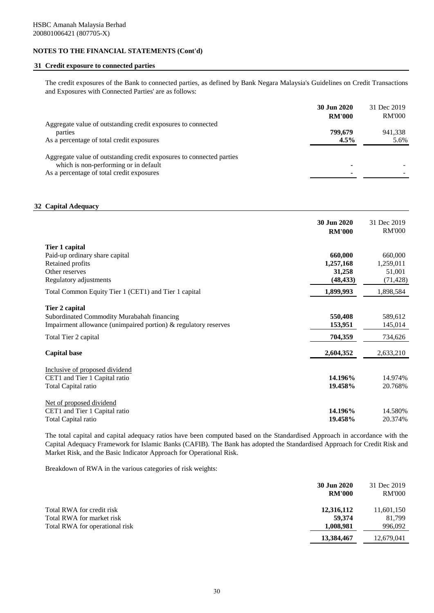# **31 Credit exposure to connected parties**

The credit exposures of the Bank to connected parties, as defined by Bank Negara Malaysia's Guidelines on Credit Transactions and Exposures with Connected Parties' are as follows:

|                                                                      | 30 Jun 2020   | 31 Dec 2019   |
|----------------------------------------------------------------------|---------------|---------------|
|                                                                      | <b>RM'000</b> | <b>RM'000</b> |
| Aggregate value of outstanding credit exposures to connected         |               |               |
| parties                                                              | 799,679       | 941,338       |
| As a percentage of total credit exposures                            | 4.5%          | 5.6%          |
|                                                                      |               |               |
| Aggregate value of outstanding credit exposures to connected parties |               |               |
| which is non-performing or in default                                |               |               |
| As a percentage of total credit exposures                            |               |               |

### **32 Capital Adequacy**

|                                                                                                                                                                          | 30 Jun 2020<br><b>RM'000</b>                             | 31 Dec 2019<br><b>RM'000</b>                             |
|--------------------------------------------------------------------------------------------------------------------------------------------------------------------------|----------------------------------------------------------|----------------------------------------------------------|
| Tier 1 capital<br>Paid-up ordinary share capital<br>Retained profits<br>Other reserves<br>Regulatory adjustments<br>Total Common Equity Tier 1 (CET1) and Tier 1 capital | 660,000<br>1,257,168<br>31,258<br>(48, 433)<br>1,899,993 | 660,000<br>1,259,011<br>51,001<br>(71, 428)<br>1,898,584 |
| Tier 2 capital<br>Subordinated Commodity Murabahah financing<br>Impairment allowance (unimpaired portion) $\&$ regulatory reserves<br>Total Tier 2 capital               | 550,408<br>153,951<br>704,359                            | 589,612<br>145,014<br>734,626                            |
| <b>Capital base</b>                                                                                                                                                      | 2,604,352                                                | 2,633,210                                                |
| Inclusive of proposed dividend<br>CET1 and Tier 1 Capital ratio<br>Total Capital ratio                                                                                   | 14.196%<br>19.458%                                       | 14.974%<br>20.768%                                       |
| Net of proposed dividend<br>CET1 and Tier 1 Capital ratio<br>Total Capital ratio                                                                                         | 14.196%<br>19.458%                                       | 14.580%<br>20.374%                                       |

The total capital and capital adequacy ratios have been computed based on the Standardised Approach in accordance with the Capital Adequacy Framework for Islamic Banks (CAFIB). The Bank has adopted the Standardised Approach for Credit Risk and Market Risk, and the Basic Indicator Approach for Operational Risk.

Breakdown of RWA in the various categories of risk weights:

|                                | 30 Jun 2020<br><b>RM'000</b> | 31 Dec 2019<br><b>RM'000</b> |
|--------------------------------|------------------------------|------------------------------|
| Total RWA for credit risk      | 12,316,112                   | 11,601,150                   |
| Total RWA for market risk      | 59.374                       | 81.799                       |
| Total RWA for operational risk | 1,008,981                    | 996,092                      |
|                                | 13,384,467                   | 12,679,041                   |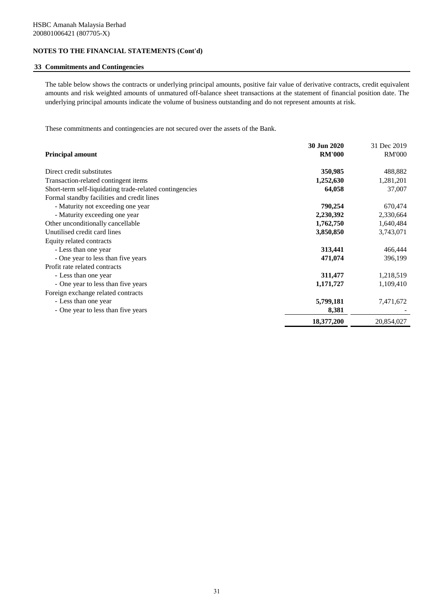### **33 Commitments and Contingencies**

The table below shows the contracts or underlying principal amounts, positive fair value of derivative contracts, credit equivalent amounts and risk weighted amounts of unmatured off-balance sheet transactions at the statement of financial position date. The underlying principal amounts indicate the volume of business outstanding and do not represent amounts at risk.

These commitments and contingencies are not secured over the assets of the Bank.

|                                                         | 30 Jun 2020   | 31 Dec 2019   |
|---------------------------------------------------------|---------------|---------------|
| <b>Principal amount</b>                                 | <b>RM'000</b> | <b>RM'000</b> |
| Direct credit substitutes                               | 350,985       | 488,882       |
| Transaction-related contingent items                    | 1,252,630     | 1,281,201     |
| Short-term self-liquidating trade-related contingencies | 64,058        | 37,007        |
| Formal standby facilities and credit lines              |               |               |
| - Maturity not exceeding one year                       | 790,254       | 670,474       |
| - Maturity exceeding one year                           | 2,230,392     | 2,330,664     |
| Other unconditionally cancellable                       | 1,762,750     | 1,640,484     |
| Unutilised credit card lines                            | 3,850,850     | 3,743,071     |
| Equity related contracts                                |               |               |
| - Less than one year                                    | 313,441       | 466,444       |
| - One year to less than five years                      | 471,074       | 396,199       |
| Profit rate related contracts                           |               |               |
| - Less than one year                                    | 311,477       | 1,218,519     |
| - One year to less than five years                      | 1,171,727     | 1,109,410     |
| Foreign exchange related contracts                      |               |               |
| - Less than one year                                    | 5,799,181     | 7,471,672     |
| - One year to less than five years                      | 8,381         |               |
|                                                         | 18,377,200    | 20,854,027    |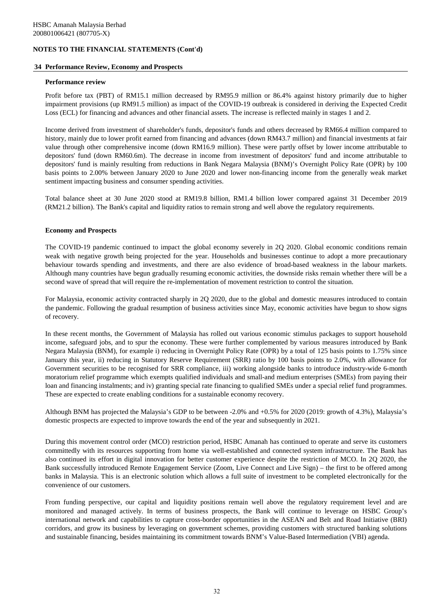### **34 Performance Review, Economy and Prospects**

### **Performance review**

Profit before tax (PBT) of RM15.1 million decreased by RM95.9 million or 86.4% against history primarily due to higher impairment provisions (up RM91.5 million) as impact of the COVID-19 outbreak is considered in deriving the Expected Credit Loss (ECL) for financing and advances and other financial assets. The increase is reflected mainly in stages 1 and 2.

Income derived from investment of shareholder's funds, depositor's funds and others decreased by RM66.4 million compared to history, mainly due to lower profit earned from financing and advances (down RM43.7 million) and financial investments at fair value through other comprehensive income (down RM16.9 million). These were partly offset by lower income attributable to depositors' fund (down RM60.6m). The decrease in income from investment of depositors' fund and income attributable to depositors' fund is mainly resulting from reductions in Bank Negara Malaysia (BNM)'s Overnight Policy Rate (OPR) by 100 basis points to 2.00% between January 2020 to June 2020 and lower non-financing income from the generally weak market sentiment impacting business and consumer spending activities.

Total balance sheet at 30 June 2020 stood at RM19.8 billion, RM1.4 billion lower compared against 31 December 2019 (RM21.2 billion). The Bank's capital and liquidity ratios to remain strong and well above the regulatory requirements.

### **Economy and Prospects**

The COVID-19 pandemic continued to impact the global economy severely in 2Q 2020. Global economic conditions remain weak with negative growth being projected for the year. Households and businesses continue to adopt a more precautionary behaviour towards spending and investments, and there are also evidence of broad-based weakness in the labour markets. Although many countries have begun gradually resuming economic activities, the downside risks remain whether there will be a second wave of spread that will require the re-implementation of movement restriction to control the situation.

For Malaysia, economic activity contracted sharply in 2Q 2020, due to the global and domestic measures introduced to contain the pandemic. Following the gradual resumption of business activities since May, economic activities have begun to show signs of recovery.

In these recent months, the Government of Malaysia has rolled out various economic stimulus packages to support household income, safeguard jobs, and to spur the economy. These were further complemented by various measures introduced by Bank Negara Malaysia (BNM), for example i) reducing in Overnight Policy Rate (OPR) by a total of 125 basis points to 1.75% since January this year, ii) reducing in Statutory Reserve Requirement (SRR) ratio by 100 basis points to 2.0%, with allowance for Government securities to be recognised for SRR compliance, iii) working alongside banks to introduce industry-wide 6-month moratorium relief programme which exempts qualified individuals and small-and medium enterprises (SMEs) from paying their loan and financing instalments; and iv) granting special rate financing to qualified SMEs under a special relief fund programmes. These are expected to create enabling conditions for a sustainable economy recovery.

Although BNM has projected the Malaysia's GDP to be between -2.0% and +0.5% for 2020 (2019: growth of 4.3%), Malaysia's domestic prospects are expected to improve towards the end of the year and subsequently in 2021.

During this movement control order (MCO) restriction period, HSBC Amanah has continued to operate and serve its customers committedly with its resources supporting from home via well-established and connected system infrastructure. The Bank has also continued its effort in digital innovation for better customer experience despite the restriction of MCO. In 2Q 2020, the Bank successfully introduced Remote Engagement Service (Zoom, Live Connect and Live Sign) – the first to be offered among banks in Malaysia. This is an electronic solution which allows a full suite of investment to be completed electronically for the convenience of our customers.

From funding perspective, our capital and liquidity positions remain well above the regulatory requirement level and are monitored and managed actively. In terms of business prospects, the Bank will continue to leverage on HSBC Group's international network and capabilities to capture cross-border opportunities in the ASEAN and Belt and Road Initiative (BRI) corridors, and grow its business by leveraging on government schemes, providing customers with structured banking solutions and sustainable financing, besides maintaining its commitment towards BNM's Value-Based Intermediation (VBI) agenda.